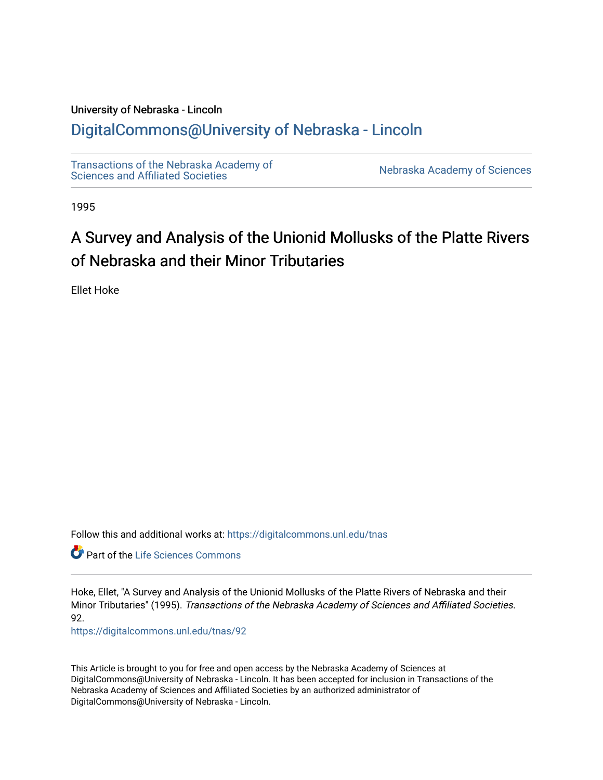# University of Nebraska - Lincoln [DigitalCommons@University of Nebraska - Lincoln](https://digitalcommons.unl.edu/)

[Transactions of the Nebraska Academy of](https://digitalcommons.unl.edu/tnas)  Transactions of the Nebraska Academy of Sciences<br>Sciences and Affiliated Societies

1995

# A Survey and Analysis of the Unionid Mollusks of the Platte Rivers of Nebraska and their Minor Tributaries

Ellet Hoke

Follow this and additional works at: [https://digitalcommons.unl.edu/tnas](https://digitalcommons.unl.edu/tnas?utm_source=digitalcommons.unl.edu%2Ftnas%2F92&utm_medium=PDF&utm_campaign=PDFCoverPages) 

Part of the [Life Sciences Commons](http://network.bepress.com/hgg/discipline/1016?utm_source=digitalcommons.unl.edu%2Ftnas%2F92&utm_medium=PDF&utm_campaign=PDFCoverPages) 

Hoke, Ellet, "A Survey and Analysis of the Unionid Mollusks of the Platte Rivers of Nebraska and their Minor Tributaries" (1995). Transactions of the Nebraska Academy of Sciences and Affiliated Societies. 92.

[https://digitalcommons.unl.edu/tnas/92](https://digitalcommons.unl.edu/tnas/92?utm_source=digitalcommons.unl.edu%2Ftnas%2F92&utm_medium=PDF&utm_campaign=PDFCoverPages)

This Article is brought to you for free and open access by the Nebraska Academy of Sciences at DigitalCommons@University of Nebraska - Lincoln. It has been accepted for inclusion in Transactions of the Nebraska Academy of Sciences and Affiliated Societies by an authorized administrator of DigitalCommons@University of Nebraska - Lincoln.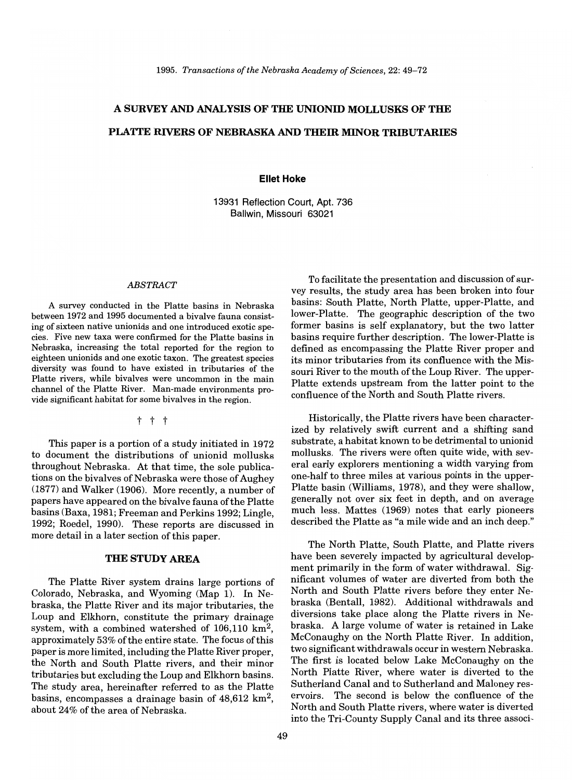# A **SURVEY AND ANALYSIS OF THE UNIONID MOLLUSKS OF THE PLATTE RIVERS OF NEBRASKA AND THEIR MINOR TRIBUTARIES**

#### **Ellet Hoke**

13931 Reflection Court, Apt. 736 Ballwin, Missouri 63021

#### *ABSTRACT*

A survey conducted in the Platte basins in Nebraska between 1972 and 1995 documented a bivalve fauna consisting of sixteen native unionids and one introduced exotic species. Five new taxa were confirmed for the Platte basins in Nebraska, increasing the total reported for the region to eighteen unionids and one exotic taxon. The greatest species diversity was found to have existed in tributaries of the Platte rivers, while bivalves were uncommon in the main channel of the Platte River. Man-made environments provide significant habitat for some bivalves in the region.

t t t

This paper is a portion of a study initiated in 1972 to document the distributions of unionid mollusks throughout Nebraska. At that time, the sole publications on the bivalves of Nebraska were those of Aughey (1877) and Walker (1906). More recently, a number of papers have appeared on the bivalve fauna of the Platte basins (Baxa, 1981; Freeman and Perkins 1992; Lingle, 1992; Roedel, 1990). These reports are discussed in more detail in a later section of this paper.

#### **THE STUDY AREA**

The Platte River system drains large portions of Colorado, Nebraska, and Wyoming (Map 1). In Nebraska, the Platte River and its major tributaries, the Loup and Elkhorn, constitute the primary drainage system, with a combined watershed of  $106,110 \text{ km}^2$ , approximately 53% of the entire state. The focus of this paper is more limited, including the Platte River proper, the North and South Platte rivers, and their minor tributaries but excluding the Loup and Elkhorn basins. The study area, hereinafter referred to as the Platte basins, encompasses a drainage basin of  $48,612 \text{ km}^2$ , about 24% of the area of Nebraska.

To facilitate the presentation and discussion of survey results, the study area has been broken into four basins: South Platte, North Platte, upper-Platte, and lower-Platte. The geographic description of the two former basins is self explanatory, but the two latter basins require further description. The lower-Platte is defined as encompassing the Platte River proper and its minor tributaries from its confluence with the Missouri River to the mouth of the Loup River. The upper-Platte extends upstream from the latter point to the confluence of the North and South Platte rivers.

Historically, the Platte rivers have been characterized by relatively swift current and a shifting sand substrate, a habitat known to be detrimental to unionid mollusks. The rivers were often quite wide, with several early explorers mentioning a width varying from one-half to three miles at various points in the upper-Platte basin (Williams, 1978), and they were shallow, generally not over six feet in depth, and on average much less. Mattes (1969) notes that early pioneers described the Platte as "a mile wide and an inch deep."

The North Platte, South Platte, and Platte rivers have been severely impacted by agricultural development primarily in the form of water withdrawal. Significant volumes of water are diverted from both the North and South Platte rivers before they enter Nebraska (Bentall, 1982). Additional withdrawals and diversions take place along the Platte rivers in Nebraska. A large volume of water is retained in Lake McConaughy on the North Platte River. In addition, two significant withdrawals occur in western Nebraska. The first is located below Lake McConaughy on the North Platte River, where water is diverted to the Sutherland Canal and to Sutherland and Maloney reservoirs. The second is below the confluence of the North and South Platte rivers, where water is diverted into the Tri-County Supply Canal and its three associ-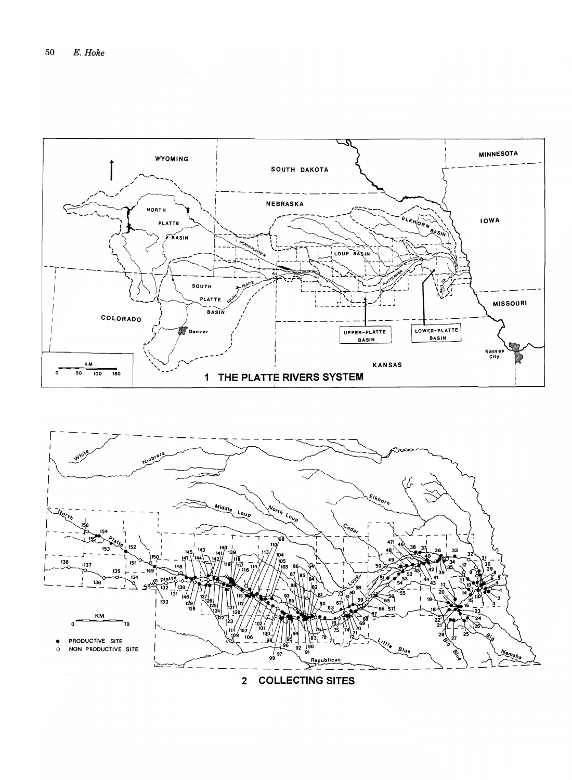

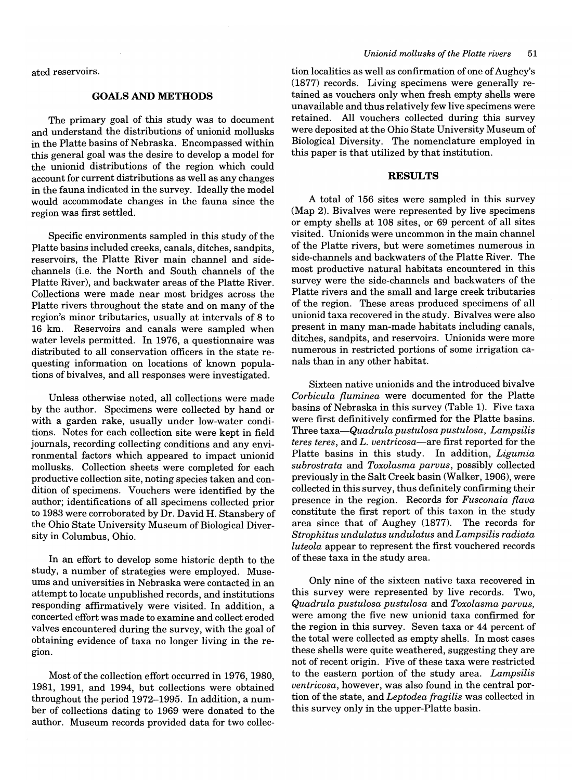ated reservoirs.

# **GOALS AND METHODS**

The primary goal of this study was to document and understand the distributions of unionid mollusks in the Platte basins of Nebraska. Encompassed within this general goal was the desire to develop a model for the unionid distributions of the region which could account for current distributions as well as any changes in the fauna indicated in the survey. Ideally the model would accommodate changes in the fauna since the region was first settled.

Specific environments sampled in this study of the Platte basins included creeks, canals, ditches, sandpits, reservoirs, the Platte River main channel and sidechannels (i.e. the North and South channels of the Platte River), and backwater areas of the Platte River. Collections were made near most bridges across the Platte rivers throughout the state and on many of the region's minor tributaries, usually at intervals of 8 to 16 km. Reservoirs and canals were sampled when water levels permitted. In 1976, a questionnaire was distributed to all conservation officers in the state requesting information on locations of known populations of bivalves, and all responses were investigated.

Unless otherwise noted, all collections were made by the author. Specimens were collected by hand or with a garden rake, usually under low-water conditions. Notes for each collection site were kept in field journals, recording collecting conditions and any environmental factors which appeared to impact unionid mollusks. Collection sheets were completed for each productive collection site, noting species taken and condition of specimens. Vouchers were identified by the author; identifications of all specimens collected prior to 1983 were corroborated by Dr. David H. Stansbery of the Ohio State University Museum of Biological Diversity in Columbus, Ohio.

In an effort to develop some historic depth to the study, a number of strategies were employed. Museums and universities in Nebraska were contacted in an attempt to locate unpublished records, and institutions responding affirmatively were visited. In addition, a concerted effort was made to examine and collect eroded valves encountered during the survey, with the goal of obtaining evidence of taxa no longer living in the region.

Most of the collection effort occurred in 1976, 1980, 1981, 1991, and 1994, but collections were obtained throughout the period 1972-1995. In addition, a number of collections dating to 1969 were donated to the author. Museum records provided data for two collec-

tion localities as well as confirmation of one of Aughey's (1877) records. Living specimens were generally retained as vouchers only when fresh empty shells were unavailable and thus relatively few live specimens were retained. All vouchers collected during this survey were deposited at the Ohio State University Museum of Biological Diversity. The nomenclature employed in this paper is that utilized by that institution.

# **RESULTS**

A total of 156 sites were sampled in this survey (Map 2). Bivalves were represented by live specimens or empty shells at 108 sites, or 69 percent of all sites visited. Unionids were uncommon in the main channel of the Platte rivers, but were sometimes numerous in side-channels and backwaters of the Platte River. The most productive natural habitats encountered in this survey were the side-channels and backwaters of the Platte rivers and the small and large creek tributaries of the region. These areas produced specimens of all unionid taxa recovered in the study. Bivalves were also present in many man-made habitats including canals, ditches, sandpits, and reservoirs. Unionids were more numerous in restricted portions of some irrigation canals than in any other habitat.

Sixteen native unionids and the introduced bivalve *Corbicula {luminea* were documented for the Platte basins of Nebraska in this survey (Table 1). Five taxa were first definitively confirmed for the Platte basins. Three *taxa-Quadrula pustulosa pustulosa, Lampsilis teres teres,* and *L. ventricosa-are* first reported for the Platte basins in this study. In addition, *Ligumia subrostrata* and *Toxolasma parvus,* possibly collected previously in the Salt Creek basin (Walker, 1906), were collected in this survey, thus definitely confirming their presence in the region. Records for *Fusconaia {lava*  constitute the first report of this taxon in the study area since that of Aughey (1877). The records for *Strophitus undulatus undulatus* and *Lampsilis radiata luteola* appear to represent the first vouchered records of these taxa in the study area.

Only nine of the sixteen native taxa recovered in this survey were represented by live records. Two, *Quadrula pustulosa pustulosa* and *Toxolasma parvus,*  were among the five new unionid taxa confirmed for the region in this survey. Seven taxa or 44 percent of the total were collected as empty shells. In most cases these shells were quite weathered, suggesting they are not of recent origin. Five of these taxa were restricted to the eastern portion of the study area. *Lampsilis ventricosa,* however, was also found in the central portion of the state, and *Leptodea fragilis* was collected in this survey only in the upper-Platte basin.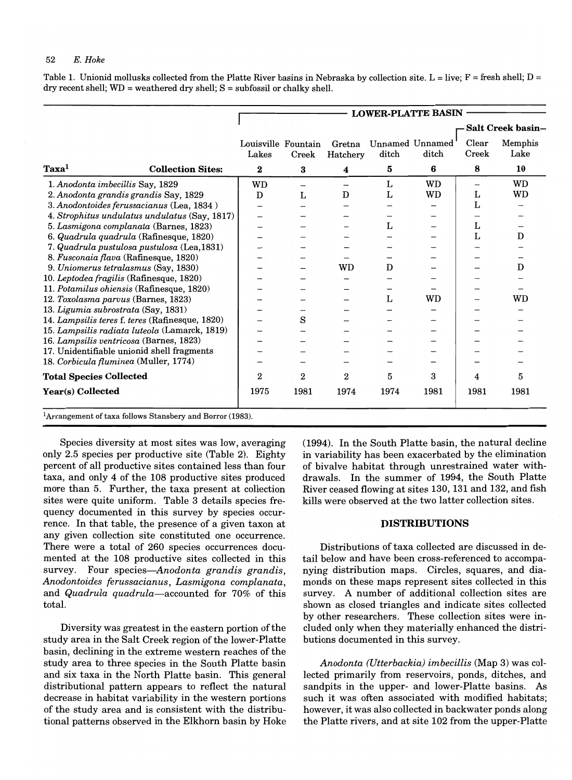Table 1. Unionid mollusks collected from the Platte River basins in Nebraska by collection site. L = live; F = fresh shell; D = dry recent shell;  $WD = weathered$  dry shell;  $S = subfossil$  or chalky shell.

|                                |                                                                       |                              |                  |                    |       | <b>LOWER-PLATTE BASIN</b> |                          |                          |
|--------------------------------|-----------------------------------------------------------------------|------------------------------|------------------|--------------------|-------|---------------------------|--------------------------|--------------------------|
|                                |                                                                       |                              |                  |                    |       |                           |                          | <b>Salt Creek basin-</b> |
|                                |                                                                       | Louisville Fountain<br>Lakes | Creek            | Gretna<br>Hatchery | ditch | Unnamed Unnamed<br>ditch  | Clear<br>Creek           | Memphis<br>Lake          |
| Taxa <sup>1</sup>              | <b>Collection Sites:</b>                                              | $\boldsymbol{2}$             | 3                | 4                  | 5     | 6                         | 8                        | 10                       |
|                                | 1. Anodonta imbecillis Say, 1829                                      | <b>WD</b>                    |                  |                    | L     | <b>WD</b>                 | $\overline{\phantom{0}}$ | <b>WD</b>                |
|                                | 2. Anodonta grandis grandis Say, 1829                                 | D                            | L                | D                  | L     | <b>WD</b>                 | L                        | WD                       |
|                                | 3. Anodontoides ferussacianus (Lea, 1834)                             | —                            |                  |                    |       |                           | L                        |                          |
|                                | 4. Strophitus undulatus undulatus (Say, 1817)                         | $\overline{\phantom{0}}$     |                  |                    |       |                           |                          |                          |
|                                | 5. Lasmigona complanata (Barnes, 1823)                                |                              |                  |                    | L     |                           | L                        |                          |
|                                | 6. Quadrula quadrula (Rafinesque, 1820)                               |                              |                  |                    |       |                           | L                        | D                        |
|                                | 7. Quadrula pustulosa pustulosa (Lea, 1831)                           |                              |                  |                    |       |                           |                          |                          |
|                                | 8. Fusconaia flava (Rafinesque, 1820)                                 |                              |                  |                    |       |                           |                          |                          |
|                                | 9. Uniomerus tetralasmus (Say, 1830)                                  |                              |                  | WD                 | D     |                           |                          | D                        |
|                                | 10. Leptodea fragilis (Rafinesque, 1820)                              |                              |                  |                    |       |                           |                          |                          |
|                                | 11. Potamilus ohiensis (Rafinesque, 1820)                             |                              |                  |                    |       |                           |                          |                          |
|                                | 12. Toxolasma parvus (Barnes, 1823)                                   |                              |                  |                    | L     | <b>WD</b>                 |                          | WD                       |
|                                | 13. Ligumia subrostrata (Say, 1831)                                   |                              |                  |                    |       |                           |                          |                          |
|                                | 14. Lampsilis teres f. teres (Rafinesque, 1820)                       |                              | S                |                    |       |                           |                          |                          |
|                                | 15. Lampsilis radiata luteola (Lamarck, 1819)                         |                              |                  |                    |       |                           |                          |                          |
|                                | 16. Lampsilis ventricosa (Barnes, 1823)                               |                              |                  |                    |       |                           |                          |                          |
|                                | 17. Unidentifiable unionid shell fragments                            |                              |                  |                    |       |                           |                          |                          |
|                                | 18. Corbicula fluminea (Muller, 1774)                                 |                              |                  |                    |       |                           |                          |                          |
| <b>Total Species Collected</b> |                                                                       | $\overline{2}$               | $\boldsymbol{2}$ | 2                  | 5     | 3                         | 4                        | 5                        |
| Year(s) Collected              |                                                                       | 1975                         | 1981             | 1974               | 1974  | 1981                      | 1981                     | 1981                     |
|                                | <sup>1</sup> Arrangement of taxa follows Stansbery and Borror (1983). |                              |                  |                    |       |                           |                          |                          |

Species diversity at most sites was low, averaging only 2.5 species per productive site (Table 2). Eighty percent of all productive sites contained less than four taxa, and only 4 of the 108 productive sites produced more than 5. Further, the taxa present at collection sites were quite uniform. Table 3 details species frequency documented in this survey by species occurrence. In that table, the presence of a given taxon at any given collection site constituted one occurrence. There were a total of 260 species occurrences documented at the 108 productive sites collected in this survey. Four *species-Anodonta grandis grandis, Anodontoides ferussacianus, Lasmigona complanata,*  and *Quadrula quadrula-accounted* for 70% of this total.

Diversity was greatest in the eastern portion of the study area in the Salt Creek region of the lower-Platte basin, declining in the extreme western reaches of the study area to three species in the South Platte basin and six taxa in the North Platte basin. This general distributional pattern appears to reflect the natural decrease in habitat variability in the western portions of the study area and is consistent with the distributional patterns observed in the Elkhorn basin by Hoke (1994). In the South Platte basin, the natural decline in variability has been exacerbated by the elimination of bivalve habitat through unrestrained water withdrawals. In the summer of 1994, the South Platte River ceased flowing at sites 130, 131 and 132, and fish kills were observed at the two latter collection sites.

### **DISTRIBUTIONS**

Distributions of taxa collected are discussed in detail below and have been cross-referenced to accompanying distribution maps. Circles, squares, and diamonds on these maps represent sites collected in this survey. A number of additional collection sites are shown as closed triangles and indicate sites collected by other researchers. These collection sites were included only when they materially enhanced the distributions documented in this survey.

*Anodonta (Utterbackia) imbecillis* (Map 3) was collected primarily from reservoirs, ponds, ditches, and sandpits in the upper- and lower-Platte basins. As such it was often associated with modified habitats; however, it was also collected in backwater ponds along the Platte rivers, and at site 102 from the upper-Platte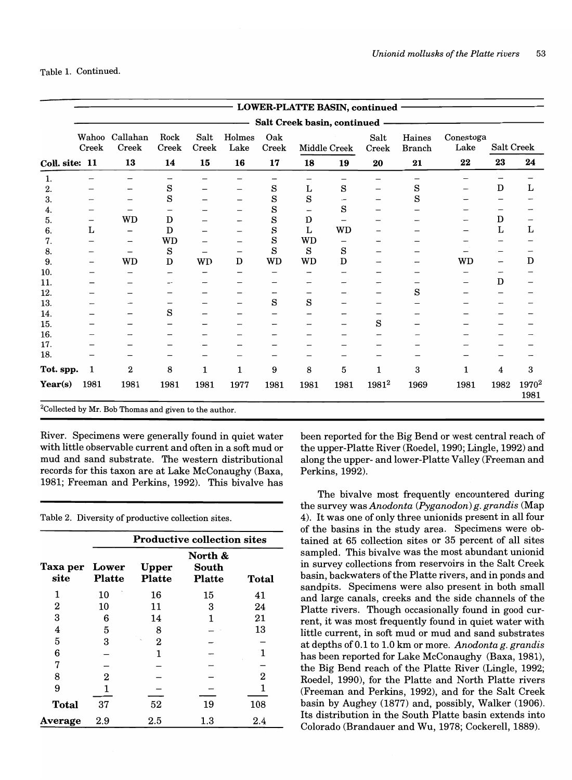|                |                          |                   |               |               |                |              |                               |              | LOWER-PLATTE BASIN, continued - |                         |                   |      |                           |
|----------------|--------------------------|-------------------|---------------|---------------|----------------|--------------|-------------------------------|--------------|---------------------------------|-------------------------|-------------------|------|---------------------------|
|                |                          |                   |               |               |                |              | Salt Creek basin, continued - |              |                                 |                         |                   |      |                           |
|                | Wahoo<br>Creek           | Callahan<br>Creek | Rock<br>Creek | Salt<br>Creek | Holmes<br>Lake | Oak<br>Creek |                               | Middle Creek | Salt<br>Creek                   | Haines<br><b>Branch</b> | Conestoga<br>Lake |      | Salt Creek                |
| Coll. site: 11 |                          | 13                | 14            | 15            | 16             | 17           | 18                            | 19           | 20                              | 21                      | 22                | 23   | 24                        |
| 1.             |                          |                   |               |               |                |              |                               |              |                                 |                         |                   |      |                           |
| 2.             |                          |                   | S             |               |                | $\rm s$      | L                             | $\rm s$      | $\overline{\phantom{m}}$        | S                       | —                 | D    | L                         |
| 3.             |                          |                   | S             |               |                | S            | S                             |              |                                 | S                       |                   |      |                           |
| 4.             |                          |                   |               |               |                | S            |                               | S            |                                 |                         |                   |      |                           |
| 5.             | —                        | WD                | D             |               |                | S            | D                             |              |                                 |                         |                   | D    |                           |
| 6.             | L                        |                   | D             |               |                | S            | L                             | <b>WD</b>    |                                 |                         |                   | L    | L                         |
| 7.             |                          |                   | <b>WD</b>     |               |                | S            | <b>WD</b>                     |              |                                 |                         |                   |      |                           |
| 8.             |                          | —                 | S             |               |                | S            | S                             | S            |                                 |                         |                   |      |                           |
| 9.             | $\overline{\phantom{0}}$ | WD                | D             | WD            | $\mathbf D$    | <b>WD</b>    | <b>WD</b>                     | D            |                                 |                         | WD                |      | D                         |
| 10.            |                          |                   |               |               |                |              |                               |              |                                 |                         |                   |      |                           |
| 11.            |                          |                   |               |               |                |              |                               |              |                                 |                         |                   | D    |                           |
| 12.            |                          |                   |               |               |                |              |                               |              |                                 | S                       |                   |      |                           |
| 13.            |                          |                   |               |               |                | S            | S                             |              |                                 |                         |                   |      |                           |
| 14.            |                          |                   | S             |               |                |              |                               |              |                                 |                         |                   |      |                           |
| 15.            |                          |                   |               |               |                |              |                               |              | S                               |                         |                   |      |                           |
| 16.            |                          |                   |               |               |                |              |                               |              |                                 |                         |                   |      |                           |
| 17.            |                          |                   |               |               |                |              |                               |              |                                 |                         |                   |      |                           |
| 18.            |                          |                   |               |               |                |              |                               |              |                                 |                         |                   |      |                           |
| Tot. spp.      | 1                        | 2                 | 8             | 1             | $\mathbf{1}$   | 9            | 8                             | 5            | 1                               | 3                       | 1                 | 4    | 3                         |
| Year(s)        | 1981                     | 1981              | 1981          | 1981          | 1977           | 1981         | 1981                          | 1981         | 1981 <sup>2</sup>               | 1969                    | 1981              | 1982 | 1970 <sup>2</sup><br>1981 |

ollected by Mr. Bob Thomas and given to the author.

River. Specimens were generally found in quiet water with little observable current and often in a soft mud or mud and sand substrate. The western distributional records for this taxon are at Lake McConaughy (Baxa, 1981; Freeman and Perkins, 1992). This bivalve has

Table 2. Diversity of productive collection sites.

|                  |                        |                               | <b>Productive collection sites</b> |         |
|------------------|------------------------|-------------------------------|------------------------------------|---------|
| Taxa per<br>site | Lower<br><b>Platte</b> | <b>Upper</b><br><b>Platte</b> | North &<br>South<br><b>Platte</b>  | Total   |
| 1                | 10                     | 16                            | 15                                 | 41      |
| 2                | 10                     | 11                            | 3                                  | 24      |
| 3                | 6                      | 14                            | 1                                  | 21      |
| 4                | 5                      | 8                             |                                    | 13      |
| 5                | 3                      | $\overline{2}$                |                                    |         |
| 6                |                        | 1                             |                                    | 1       |
| 7                |                        |                               |                                    |         |
| 8                | $\overline{2}$         |                               |                                    | 2       |
| 9                | 1                      |                               |                                    | 1       |
| <b>Total</b>     | 37                     | 52                            | 19                                 | 108     |
| Average          | 2.9                    | $2.5\,$                       | $1.3\,$                            | $2.4\,$ |

been reported for the Big Bend or west central reach of the upper-Platte River (Roedel, 1990; Lingle, 1992) and along the upper- and lower-Platte Valley (Freeman and Perkins, 1992).

The bivalve most frequently encountered during the survey was *Anodonta (Pyganodon) g. grandis* (Map 4). It was one of only three unionids present in all four of the basins in the study area. Specimens were obtained at 65 collection sites or 35 percent of all sites sampled. This bivalve was the most abundant unionid in survey collections from reservoirs in the Salt Creek basin, backwaters of the Platte rivers, and in ponds and sandpits. Specimens were also present in both small and large canals, creeks and the side channels of the Platte rivers. Though occasionally found in good current, it was most frequently found in quiet water with little current, in soft mud or mud and sand substrates at depths of 0.1 to 1.0 km or more. *Anodonta g. grandis* has been reported for Lake McConaughy (Baxa, 1981), the Big Bend reach of the Platte River (Lingle, 1992; Roedel, 1990), for the Platte and North Platte rivers (Freeman and Perkins, 1992), and for the Salt Creek basin by Aughey (1877) and, possibly, Walker (1906). Its distribution in the South Platte basin extends into Colorado (Brandauer and Wu, 1978; Cockerell, 1889).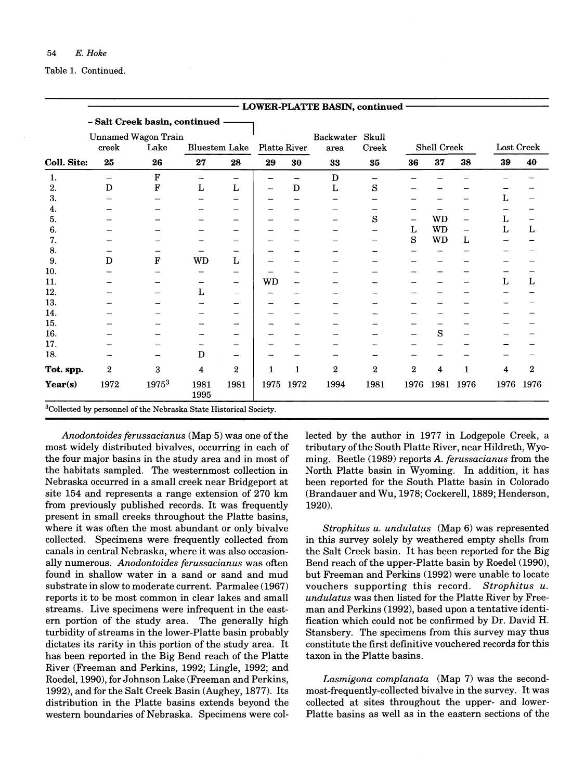|             |       |                                    |                      |                          |                     |      | <b>LOWER-PLATTE BASIN, continued -</b> |                |                 |                    |                          |              |                              |
|-------------|-------|------------------------------------|----------------------|--------------------------|---------------------|------|----------------------------------------|----------------|-----------------|--------------------|--------------------------|--------------|------------------------------|
|             |       | - Salt Creek basin, continued -    |                      |                          |                     |      |                                        |                |                 |                    |                          |              |                              |
|             | creek | <b>Unnamed Wagon Train</b><br>Lake | <b>Bluestem Lake</b> |                          | <b>Platte River</b> |      | Backwater<br>area                      | Skull<br>Creek |                 | <b>Shell Creek</b> |                          |              | Lost Creek                   |
| Coll. Site: | 25    | 26                                 | 27                   | 28                       | 29                  | 30   | 33                                     | 35             | 36              | 37                 | 38                       | 39           | 40                           |
|             |       |                                    |                      |                          |                     |      |                                        |                |                 |                    |                          |              |                              |
| 1.          | -     | F                                  |                      | —                        |                     |      | D                                      |                |                 |                    |                          |              |                              |
| 2.          | D     | F                                  | L                    | L                        |                     | D    | L                                      | S              |                 |                    |                          |              |                              |
| 3.          |       |                                    |                      |                          |                     |      |                                        |                |                 |                    |                          | L            |                              |
| 4.          |       |                                    |                      |                          |                     |      |                                        |                |                 |                    |                          |              |                              |
| 5.          |       |                                    |                      |                          |                     |      |                                        | S              | $\qquad \qquad$ | <b>WD</b>          | —                        | L            | $\qquad \qquad \blacksquare$ |
| 6.          |       |                                    |                      |                          |                     |      |                                        |                | L               | <b>WD</b>          | $\overline{\phantom{0}}$ | $\mathbf{L}$ | $\mathbf L$                  |
| 7.          |       |                                    |                      |                          |                     |      |                                        |                | S               | <b>WD</b>          | L                        |              |                              |
| 8.          |       |                                    |                      |                          |                     |      |                                        |                |                 |                    |                          |              |                              |
| 9.          | D     | F                                  | <b>WD</b>            | L                        |                     |      |                                        |                |                 |                    |                          |              |                              |
| 10.         |       |                                    |                      |                          |                     |      |                                        |                |                 |                    |                          |              |                              |
| 11.         |       |                                    |                      | $\overline{\phantom{m}}$ | <b>WD</b>           |      |                                        |                |                 |                    |                          | L            | L                            |
| 12.         |       |                                    | L                    |                          |                     |      |                                        |                |                 |                    |                          |              |                              |
| 13.         |       |                                    |                      |                          |                     |      |                                        |                |                 |                    |                          |              |                              |
| 14.         |       |                                    |                      |                          |                     |      |                                        |                |                 |                    |                          |              |                              |
| 15.         |       |                                    |                      |                          |                     |      |                                        |                |                 |                    |                          |              |                              |
| 16.         |       |                                    |                      |                          |                     |      |                                        |                |                 | S                  |                          |              |                              |
| 17.         |       |                                    |                      |                          |                     |      |                                        |                |                 |                    |                          |              |                              |
| 18.         |       |                                    | $\mathbf D$          |                          |                     |      |                                        |                |                 |                    |                          |              |                              |
| Tot. spp.   | 2     | 3                                  | 4                    | 2                        | 1                   | 1    | $\overline{2}$                         | $\overline{2}$ | $\overline{2}$  | 4                  | 1                        | 4            | $\boldsymbol{2}$             |
| Year(s)     | 1972  | 19753                              | 1981<br>1995         | 1981                     | 1975                | 1972 | 1994                                   | 1981           | 1976            |                    | 1981 1976                | 1976         | 1976                         |

*Anodontoides ferussacianus* (Map 5) was one of the most widely distributed bivalves, occurring in each of the four major basins in the study area and in most of the habitats sampled. The westernmost collection in Nebraska occurred in a small creek near Bridgeport at site 154 and represents a range extension of 270 km from previously published records. It was frequently present in small creeks throughout the Platte basins, where it was often the most abundant or only bivalve collected. Specimens were frequently collected from canals in central Nebraska, where it was also occasionally numerous. *Anodontoides ferussacianus* was often found in shallow water in a sand or sand and mud substrate in slow to moderate current. Parmalee (1967) reports it to be most common in clear lakes and small streams. Live specimens were infrequent in the eastern portion of the study area. The generally high turbidity of streams in the lower-Platte basin probably dictates its rarity in this portion of the study area. It has been reported in the Big Bend reach of the Platte River (Freeman and Perkins, 1992; Lingle, 1992; and Roedel, 1990), for Johnson Lake (Freeman and Perkins, 1992), and for the Salt Creek Basin (Aughey, 1877). Its distribution in the Platte basins extends beyond the western boundaries of Nebraska. Specimens were collected by the author in 1977 in Lodgepole Creek, a tributary of the South Platte River, near Hildreth, Wyoming. Beetle (1989) reports A. *ferussacianus* from the North Platte basin in Wyoming. In addition, it has been reported for the South Platte basin in Colorado (Brandauer and Wu, 1978; Cockerell, 1889; Henderson, 1920).

*Strophitus u. undulatus* (Map 6) was represented in this survey solely by weathered empty shells from the Salt Creek basin. It has been reported for the Big Bend reach of the upper-Platte basin by Roedel (1990), but Freeman and Perkins (1992) were unable to locate vouchers supporting this record. *Strophitus u. undulatus* was then listed for the Platte River by Freeman and Perkins (1992), based upon a tentative identification which could not be confirmed by Dr. David H. Stansbery. The specimens from this survey may thus constitute the first definitive vouchered records for this taxon in the Platte basins.

*Lasmigona complanata* (Map 7) was the secondmost-frequently-collected bivalve in the survey. It was collected at sites throughout the upper- and lower-Platte basins as well as in the eastern sections of the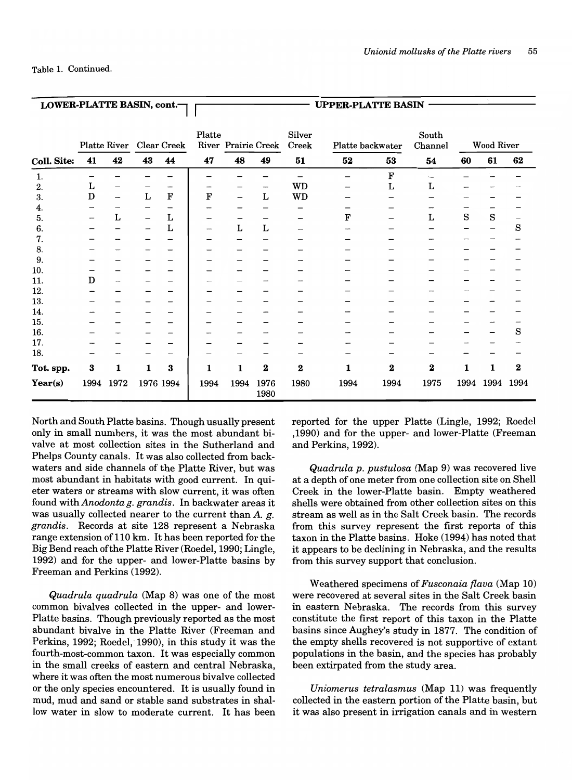| LOWER-PLATTE BASIN, cont.- |      |                          |              |                          |        |             |                     |                 | <b>UPPER-PLATTE BASIN</b> |           |                  |      |                   |          |
|----------------------------|------|--------------------------|--------------|--------------------------|--------|-------------|---------------------|-----------------|---------------------------|-----------|------------------|------|-------------------|----------|
|                            |      | Platte River             |              | <b>Clear Creek</b>       | Platte |             | River Prairie Creek | Silver<br>Creek | Platte backwater          |           | South<br>Channel |      | <b>Wood River</b> |          |
| Coll. Site:                | 41   | 42                       | 43           | 44                       | 47     | 48          | 49                  | 51              | 52                        | 53        | 54               | 60   | 61                | 62       |
| 1.                         |      |                          |              |                          |        |             |                     | -               |                           | ${\bf F}$ |                  |      |                   |          |
| 2.                         | L    |                          |              |                          |        |             |                     | <b>WD</b>       |                           | Г         | L                |      |                   |          |
| 3.                         | D    | $\overline{\phantom{m}}$ | $\mathbf L$  | ${\bf F}$                | F      |             | L                   | <b>WD</b>       |                           |           |                  |      |                   |          |
| 4.                         |      |                          |              | $\overline{\phantom{m}}$ |        |             |                     |                 |                           |           |                  |      |                   |          |
| 5.                         |      | Г                        |              | L                        |        |             |                     |                 | F                         |           | L                | S    | S                 |          |
| 6.                         |      |                          |              | $\mathbf{L}$             |        | $\mathbf L$ | $\mathbf L$         |                 |                           |           |                  |      |                   | S        |
| 7.                         |      |                          |              |                          |        |             |                     |                 |                           |           |                  |      |                   |          |
| 8.                         |      |                          |              |                          |        |             |                     |                 |                           |           |                  |      |                   |          |
| 9.                         |      |                          |              |                          |        |             |                     |                 |                           |           |                  |      |                   |          |
| 10.                        |      |                          |              |                          |        |             |                     |                 |                           |           |                  |      |                   |          |
| 11.                        | D    |                          |              |                          |        |             |                     |                 |                           |           |                  |      |                   |          |
| 12.                        |      |                          |              |                          |        |             |                     |                 |                           |           |                  |      |                   |          |
| 13.                        |      |                          |              |                          |        |             |                     |                 |                           |           |                  |      |                   |          |
| 14.                        |      |                          |              |                          |        |             |                     |                 |                           |           |                  |      |                   |          |
| 15.                        |      |                          |              |                          |        |             |                     |                 |                           |           |                  |      |                   |          |
| 16.                        |      |                          |              |                          |        |             |                     |                 |                           |           |                  |      |                   | S        |
| 17.                        |      |                          |              |                          |        |             |                     |                 |                           |           |                  |      |                   |          |
| 18.                        |      |                          |              |                          |        |             |                     |                 |                           |           |                  |      |                   |          |
| Tot. spp.                  | 3    | 1                        | $\mathbf{1}$ | 3                        | 1      | 1           | $\bf{2}$            | $\bf{2}$        | 1                         | $\bf{2}$  | $\bf{2}$         | 1    | 1                 | $\bf{2}$ |
| Year(s)                    | 1994 | 1972                     |              | 1976 1994                | 1994   | 1994        | 1976<br>1980        | 1980            | 1994                      | 1994      | 1975             | 1994 | 1994              | 1994     |

North and South Platte basins. Though usually present only in small numbers, it was the most abundant bivalve at most collection sites in the Sutherland and Phelps County canals. It was also collected from backwaters and side channels of the Platte River, but was most abundant in habitats with good current. In quieter waters or streams with slow current, it was often found *withAnodontag. grandis.* In backwater areas it was usually collected nearer to the current than *A.* g. *grandis.* Records at site 128 represent a Nebraska range extension of 110 km. It has been reported for the Big Bend reach of the Platte River (Roedel, 1990; Lingle, 1992) and for the upper- and lower-Platte basins by Freeman and Perkins (1992).

*Quadrula quadrula* (Map 8) was one of the most common bivalves collected in the upper- and lower-Platte basins. Though previously reported as the most abundant bivalve in the Platte River (Freeman and Perkins, 1992; Roedel, 1990), in this study it was the fourth-most-common taxon. It was especially common in the small creeks of eastern and central Nebraska, where it was often the most numerous bivalve collected or the only species encountered. It is usually found in mud, mud and sand or stable sand substrates in shallow water in slow to moderate current. It has been reported for the upper Platte (Lingle, 1992; Roedel ,1990) and for the upper- and lower-Platte (Freeman and Perkins, 1992).

*Quadrula p. pustulosa* (Map 9) was recovered live at a depth of one meter from one collection site on Shell Creek in the lower-Platte basin. Empty weathered shells were obtained from other collection sites on this stream as well as in the Salt Creek basin. The records from this survey represent the first reports of this taxon in the Platte basins. Hoke (1994) has noted that it appears to be declining in Nebraska, and the results from this survey support that conclusion.

Weathered specimens of *Fusconaia flava* (Map 10) were recovered at several sites in the Salt Creek basin in eastern Nebraska. The records from this survey constitute the first report of this taxon in the Platte basins since Aughey's study in 1877. The condition of the empty shells recovered is not supportive of extant populations in the basin, and the species has probably been extirpated from the study area.

*Uniomerus tetralasmus* (Map 11) was frequently collected in the eastern portion of the Platte basin, but it was also present in irrigation canals and in western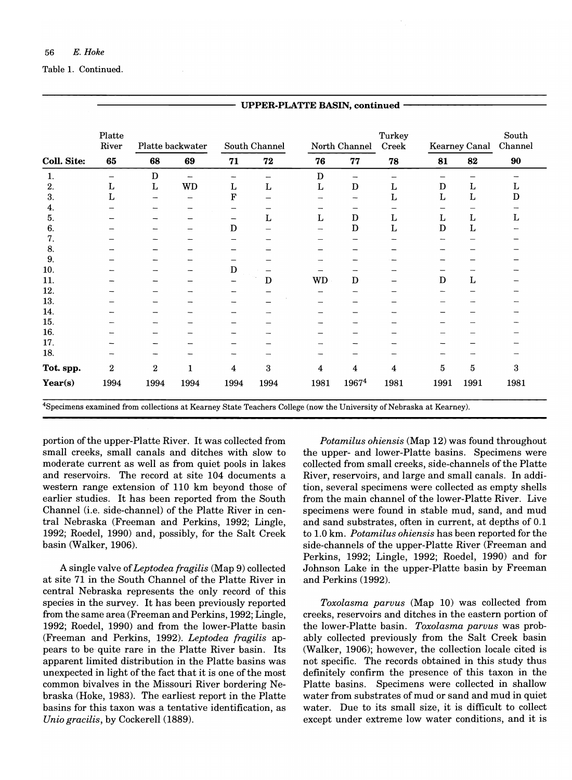|                    | Platte<br>River |                  | Platte backwater         |      | South Channel |             | North Channel | Turkey<br>Creek |                          | Kearney Canal | South<br>Channel |
|--------------------|-----------------|------------------|--------------------------|------|---------------|-------------|---------------|-----------------|--------------------------|---------------|------------------|
| <b>Coll. Site:</b> | 65              | 68               | 69                       | 71   | 72            | 76          | 77            | 78              | 81                       | 82            | 90               |
| 1.                 | -               | D                | $\overline{\phantom{0}}$ | —    | -             | D           | -             | -               | $\overline{\phantom{0}}$ |               |                  |
| 2.                 | L               | L                | <b>WD</b>                | L    | L             | L           | $\mathbf D$   | L               | $\mathbf D$              | $\mathbf L$   | L                |
| 3.                 | L               |                  |                          | F    |               |             |               | L               | L                        | L             | $\mathbf D$      |
| 4.                 |                 |                  |                          |      |               |             |               |                 |                          |               |                  |
| 5.                 |                 |                  |                          | —    | L             | $\mathbf L$ | D             | L               | Г                        | L             | L                |
| 6.                 |                 |                  |                          | D    |               |             | $\mathbf D$   | L               | D                        | Г             |                  |
| 7.                 |                 |                  |                          |      |               |             |               |                 |                          |               |                  |
| 8.                 |                 |                  |                          |      |               |             |               |                 |                          |               |                  |
| 9.                 |                 |                  |                          |      |               |             |               |                 |                          |               |                  |
| 10.                |                 |                  |                          | D    |               |             |               |                 |                          |               |                  |
| 11.                |                 |                  |                          |      | $\mathbf D$   | <b>WD</b>   | $\mathbf D$   |                 | D                        | $\mathbf L$   |                  |
| 12.                |                 |                  |                          |      |               |             |               |                 |                          |               |                  |
| 13.                |                 |                  |                          |      |               |             |               |                 |                          |               |                  |
| 14.                |                 |                  |                          |      |               |             |               |                 |                          |               |                  |
| 15.                |                 |                  |                          |      |               |             |               |                 |                          |               |                  |
| 16.                |                 |                  |                          |      |               |             |               |                 |                          |               |                  |
| 17.                |                 |                  |                          |      |               |             |               |                 |                          |               |                  |
| 18.                |                 |                  |                          |      |               |             |               |                 |                          |               |                  |
| Tot. spp.          | 2               | $\boldsymbol{2}$ | 1                        | 4    | 3             | 4           | 4             | 4               | 5                        | 5             | 3                |
| Year(s)            | 1994            | 1994             | 1994                     | 1994 | 1994          | 1981        | 19674         | 1981            | 1991                     | 1991          | 1981             |

UPPER-PLATTE BASIN, continued

4Specimens examined from collections at Kearney State Teachers College (now the University of Nebraska at Kearney).

portion of the upper-Platte River. It was collected from small creeks, small canals and ditches with slow to moderate current as well as from quiet pools in lakes and reservoirs. The record at site 104 documents a western range extension of 110 km beyond those of earlier studies. It has been reported from the South Channel (i.e. side-channel) of the Platte River in central Nebraska (Freeman and Perkins, 1992; Lingle, 1992; Roedel, 1990) and, possibly, for the Salt Creek basin (Walker, 1906).

A single valve of *Leptodea fragilis* (Map 9) collected at site 71 in the South Channel of the Platte River in central Nebraska represents the only record of this species in the survey. It has been previously reported from the same area (Freeman and Perkins, 1992; Lingle, 1992; Roedel, 1990) and from the lower-Platte basin (Freeman and Perkins, 1992). *Leptodea fragilis* appears to be quite rare in the Platte River basin. Its apparent limited distribution in the Platte basins was unexpected in light of the fact that it is one of the most common bivalves in the Missouri River bordering Nebraska (Hoke, 1983). The earliest report in the Platte basins for this taxon was a tentative identification, as *Unio gracilis,* by Cockerell (1889).

*Potamilus ohiensis* (Map 12) was found throughout the upper- and lower-Platte basins. Specimens were collected from small creeks, side-channels of the Platte River, reservoirs, and large and small canals. In addition, several specimens were collected as empty shells from the main channel of the lower-Platte River. Live specimens were found in stable mud, sand, and mud and sand substrates, often in current, at depths of 0.1 to 1.0 km. *Potamilus ohiensis* has been reported for the side-channels of the upper-Platte River (Freeman and Perkins, 1992; Lingle, 1992; Roedel, 1990) and for Johnson Lake in the upper-Platte basin by Freeman and Perkins (1992).

*Toxolasma parvus* (Map 10) was collected from creeks, reservoirs and ditches in the eastern portion of the lower-Platte basin. *Toxolasma parvus* was probably collected previously from the Salt Creek basin (Walker, 1906); however, the collection locale cited is not specific. The records obtained in this study thus defmitely confirm the presence of this taxon in the Platte basins. Specimens were collected in shallow water from substrates of mud or sand and mud in quiet water. Due to its small size, it is difficult to collect except under extreme low water conditions, and it is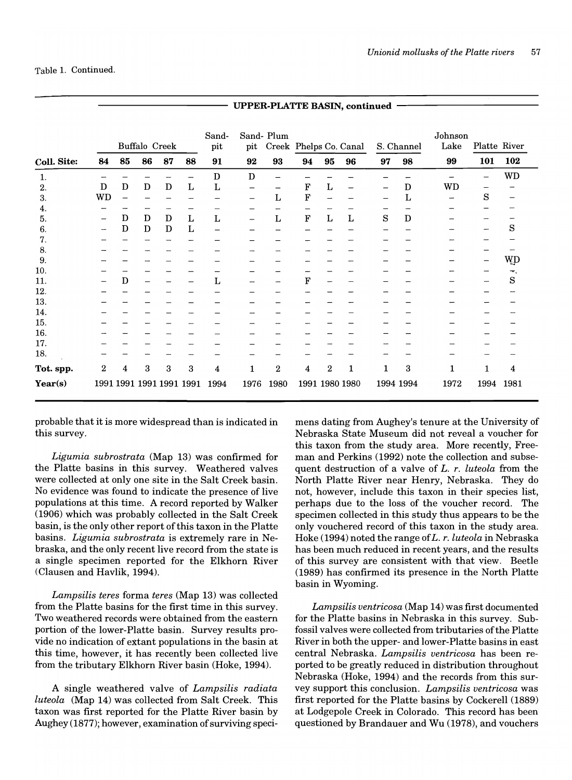|                  |           |             |               |                          |             |              | C11 ER-1 EA1112 DAOIR, CONGHUGU |                                     |             |                |                |    |            |                 |              |                |
|------------------|-----------|-------------|---------------|--------------------------|-------------|--------------|---------------------------------|-------------------------------------|-------------|----------------|----------------|----|------------|-----------------|--------------|----------------|
|                  |           |             | Buffalo Creek |                          |             | Sand-<br>pit | pit                             | Sand-Plum<br>Creek Phelps Co. Canal |             |                |                |    | S. Channel | Johnson<br>Lake | Platte River |                |
| Coll. Site:      | 84        | 85          | 86            | 87                       | 88          | 91           | 92                              | 93                                  | 94          | 95             | 96             | 97 | 98         | 99              | 101          | 102            |
| 1.               |           |             |               |                          |             | D            | D                               |                                     |             |                |                |    |            |                 |              | <b>WD</b>      |
| $\overline{2}$ . | D         | D           | D             | D                        | L           | L            |                                 |                                     | $\mathbf F$ | L              |                |    | D          | <b>WD</b>       |              |                |
| 3.               | <b>WD</b> |             |               |                          |             |              | —                               | L                                   | $\mathbf F$ |                |                |    | L          |                 | S            |                |
| 4.               |           |             |               |                          |             |              |                                 |                                     |             |                |                |    |            |                 |              |                |
| 5.               | -         | D           | $\mathbf D$   | $\mathbf D$              | $\mathbf L$ | $\mathbf L$  |                                 | Г                                   | $\mathbf F$ | $\mathbf L$    | Г              | S  | D          |                 |              |                |
| 6.               |           | D           | D             | D                        | L           |              |                                 |                                     |             |                |                |    |            |                 |              | S              |
| 7.               |           |             |               |                          |             |              |                                 |                                     |             |                |                |    |            |                 |              |                |
| 8.               |           |             |               |                          |             |              |                                 |                                     |             |                |                |    |            |                 |              |                |
| 9.               |           |             |               |                          |             |              |                                 |                                     |             |                |                |    |            |                 |              | WD             |
| 10.              |           |             |               |                          |             |              |                                 |                                     |             |                |                |    |            |                 |              | <del>₹</del> , |
| 11.              |           | $\mathbf D$ |               |                          |             | L            |                                 |                                     | ${\bf F}$   |                |                |    |            |                 |              | S              |
| 12.              |           |             |               |                          |             |              |                                 |                                     |             |                |                |    |            |                 |              |                |
| 13.              |           |             |               |                          |             |              |                                 |                                     |             |                |                |    |            |                 |              |                |
| 14.              |           |             |               |                          |             |              |                                 |                                     |             |                |                |    |            |                 |              |                |
| 15.              |           |             |               |                          |             |              |                                 |                                     |             |                |                |    |            |                 |              |                |
| 16.              |           |             |               |                          |             |              |                                 |                                     |             |                |                |    |            |                 |              |                |
| 17.              |           |             |               |                          |             |              |                                 |                                     |             |                |                |    |            |                 |              |                |
| 18.              |           |             |               |                          |             |              |                                 |                                     |             |                |                |    |            |                 |              |                |
| Tot. spp.        | 2         | 4           | 3             | 3                        | 3           | 4            | 1                               | $\,2$                               | 4           | $\overline{2}$ | 1              | 1  | 3          | 1               | 1            | 4              |
| Year(s)          |           |             |               | 1991 1991 1991 1991 1991 |             | 1994         | 1976                            | 1980                                |             |                | 1991 1980 1980 |    | 1994 1994  | 1972            | 1994         | 1981           |

UPPER-PLATTE BASIN, continued

probable that it is more widespread than is indicated in this survey.

*Ligumia subrostrata* (Map 13) was confirmed for the Platte basins in this survey. Weathered valves were collected at only one site in the Salt Creek basin. No evidence was found to indicate the presence of live populations at this time. A record reported by Walker (1906) which was probably collected in the Salt Creek basin, is the only other report of this taxon in the Platte basins. *Ligumia subrostrata* is extremely rare in Nebraska, and the only recent live record from the state is a single specimen reported for the Elkhorn River (Clausen and Havlik, 1994).

*Lampsilis teres* forma *teres* (Map 13) was collected from the Platte basins for the first time in this survey. Two weathered records were obtained from the eastern portion of the lower-Platte basin. Survey results provide no indication of extant populations in the basin at this time, however, it has recently been collected live from the tributary Elkhorn River basin (Hoke, 1994).

A single weathered valve of *Lampsilis radiata luteola* (Map 14) was collected from Salt Creek. This taxon was first reported for the Platte River basin by Aughey (1877); however, examination of surviving specimens dating from Aughey's tenure at the University of Nebraska State Museum did not reveal a voucher for this taxon from the study area. More recently, Freeman and Perkins (1992) note the collection and subsequent destruction of a valve of *L. r. luteola* from the North Platte River near Henry, Nebraska. They do not, however, include this taxon in their species list, perhaps due to the loss of the voucher record. The specimen collected in this study thus appears to be the only vouchered record of this taxon in the study area. Hoke (1994) noted the range of *L. r. luteola* in Nebraska has been much reduced in recent years, and the results of this survey are consistent with that view. Beetle (1989) has confirmed its presence in the North Platte basin in Wyoming.

*Lampsilis ventricosa* (Map 14) was first documented for the Platte basins in Nebraska in this survey. Subfossil valves were collected from tributaries of the Platte River in both the upper- and lower-Platte basins in east central Nebraska. *Lampsilis ventricosa* has been reported to be greatly reduced in distribution throughout Nebraska (Hoke, 1994) and the records from this survey support this conclusion. *Lampsilis ventricosa* was first reported for the Platte basins by Cockerell (1889) at Lodgepole Creek in Colorado. This record has been questioned by Brandauer and Wu (1978), and vouchers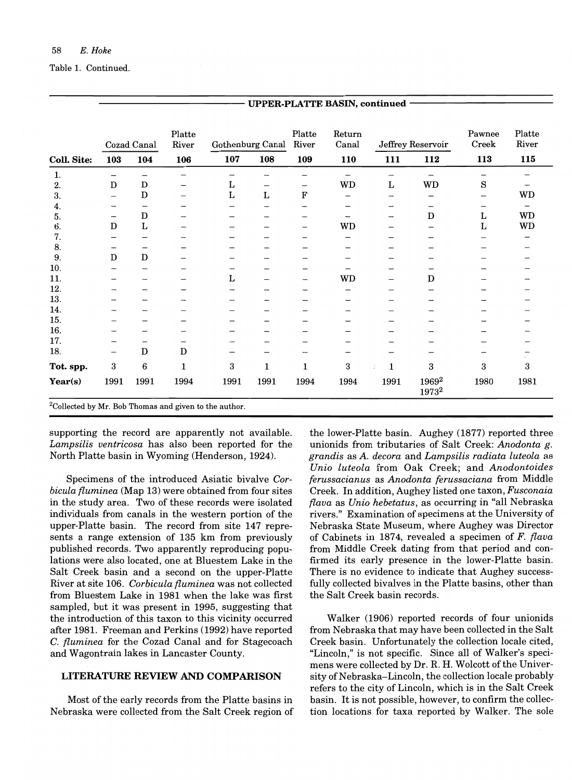|             |                          | Cozad Canal              | Platte<br>River |      | Gothenburg Canal         | Platte<br>River | Return<br>Canal |              | Jeffrey Reservoir                      | Pawnee<br>Creek          | Platte<br>River |
|-------------|--------------------------|--------------------------|-----------------|------|--------------------------|-----------------|-----------------|--------------|----------------------------------------|--------------------------|-----------------|
| Coll. Site: | 103                      | 104                      | 106             | 107  | 108                      | 109             | 110             | 111          | 112                                    | 113                      | 115             |
| 1.          | —                        | $\overline{\phantom{0}}$ | —               | -    |                          |                 | —               |              | $\overline{\phantom{0}}$               | $\overline{\phantom{0}}$ |                 |
| 2.          | $\mathbf D$              | $\mathbf D$              | $\qquad \qquad$ | L    | $\overline{\phantom{m}}$ | —               | WD              | Г            | WD                                     | S                        |                 |
| 3.          | $\overline{\phantom{0}}$ | D                        | —               | Г    | $\bf L$                  | $\mathbf F$     | —               |              |                                        | —                        | WD              |
| 4.          | -                        | $\qquad \qquad$          |                 |      | -                        | -               |                 |              | -                                      | -                        |                 |
| 5.          | —                        | $\mathbf D$              |                 |      |                          |                 |                 |              | D                                      | $\mathbf L$              | WD              |
| 6.          | D                        | $\bf L$                  |                 |      |                          | —               | WD              |              |                                        | L                        | WD              |
| 7.          | —                        |                          |                 |      |                          | –               | -               |              |                                        |                          |                 |
| 8.          |                          | —                        |                 |      |                          |                 |                 |              |                                        |                          |                 |
| 9.          | $\mathbf D$              | $\mathbf D$              | -               | -    |                          |                 |                 |              |                                        |                          |                 |
| 10.         |                          |                          |                 |      |                          |                 |                 |              |                                        |                          |                 |
| 11.         |                          |                          |                 | Г    |                          | -               | WD              |              | D                                      |                          |                 |
| 12.         |                          |                          |                 | -    |                          | -               | —               |              |                                        |                          |                 |
| 13.         |                          |                          |                 |      |                          |                 |                 |              |                                        |                          |                 |
| 14.         |                          |                          |                 |      |                          |                 |                 |              |                                        |                          |                 |
| 15.         |                          |                          | -               | -    |                          | ---             |                 |              |                                        |                          |                 |
| 16.         |                          |                          |                 |      |                          |                 |                 |              |                                        |                          |                 |
| 17.         |                          | –                        | -               |      |                          |                 |                 |              |                                        |                          |                 |
| 18.         | —                        | $\mathbf D$              | $\mathbf D$     |      |                          |                 |                 |              |                                        |                          |                 |
| Tot. spp.   | 3                        | 6                        | $\mathbf 1$     | 3    | $\mathbf 1$              | 1               | 3               | $\mathbf{1}$ | 3                                      | 3                        | 3               |
| Year(s)     | 1991                     | 1991                     | 1994            | 1991 | 1991                     | 1994            | 1994            | 1991         | 1969 <sup>2</sup><br>1973 <sup>2</sup> | 1980                     | 1981            |

UPPER· PLATTE BASIN, continued

supporting the record are apparently not available.

*Lampsilis ventricosa* has also been reported for the North Platte basin in Wyoming (Henderson, 1924).

Specimens of the introduced Asiatic bivalve *Corbicula {luminea* (Map 13) were obtained from four sites in the study area. Two of these records were isolated individuals from canals in the western portion of the upper-Platte basin. The record from site 147 represents a range extension of 135 km from previously published records. Two apparently reproducing populations were also located, one at Bluestem Lake in the Salt Creek basin and a second on the upper-Platte River at site 106. *Corbicula {luminea* was not collected from Bluestem Lake in 1981 when the lake was first sampled, but it was present in 1995, suggesting that the introduction of this taxon to this vicinity occurred after 1981. Freeman and Perkins (1992) have reported C. *{luminea* for the Cozad Canal and for Stagecoach and Wagontrain lakes in Lancaster County.

# LITERATURE REVIEW AND COMPARISON

Most of the early records from the Platte basins in Nebraska were collected from the Salt Creek region of the lower-Platte basin. Aughey (1877) reported three unionids from tributaries of Salt Creek: *Anodonta g. grandis* as A. *decora* and *Lampsilis radiata luteola* as *Unio luteola* from Oak Creek; and *Anodontoides ferussacianus* as *Anodonta ferussaciana* from Middle Creek. In addition, Aughey listed one taxon, *Fusconaia {lava* as *Unio hebetatus,* as occurring in "all Nebraska rivers." Examination of specimens at the University of Nebraska State Museum, where Aughey was Director of Cabinets in 1874, revealed a specimen of *F. {lava*  from Middle Creek dating from that period and confirmed its early presence in the lower-Platte basin. There is no evidence to indicate that Aughey successfully collected bivalves in the Platte basins, other than the Salt Creek basin records.

Walker (1906) reported records of four unionids from Nebraska that may have been collected in the Salt Creek basin. Unfortunately the collection locale cited, "Lincoln," is not specific. Since all of Walker's specimens were collected by Dr. R. H. Wolcott of the University of Nebraska-Lincoln, the collection locale probably refers to the city of Lincoln, which is in the Salt Creek basin. It is not possible, however, to confirm the collection locations for taxa reported by Walker. The sole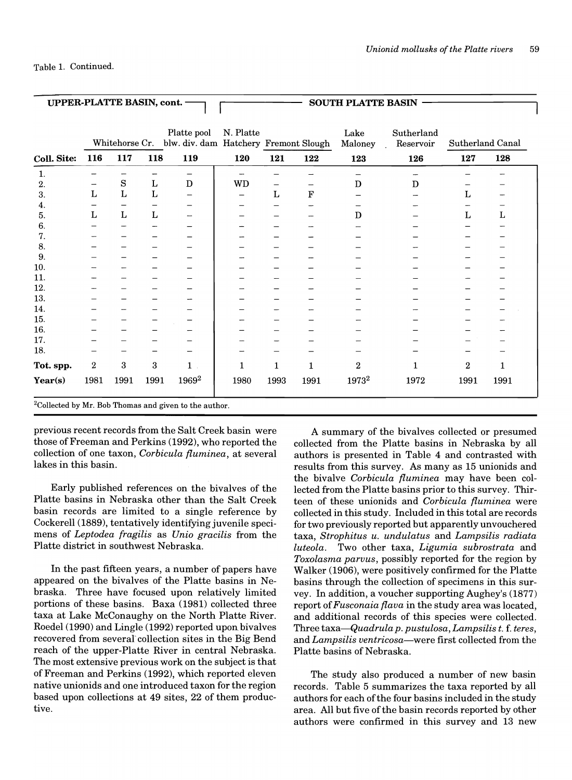| UPPER-PLATTE BASIN, cont. - |                  |             |      |                                                                     |           |              |              | <b>SOUTH PLATTE BASIN</b> |                         |                  |      |  |
|-----------------------------|------------------|-------------|------|---------------------------------------------------------------------|-----------|--------------|--------------|---------------------------|-------------------------|------------------|------|--|
|                             |                  |             |      | Platte pool<br>Whitehorse Cr. blw. div. dam Hatchery Fremont Slough | N. Platte |              |              | Lake<br>Maloney           | Sutherland<br>Reservoir | Sutherland Canal |      |  |
| Coll. Site:                 | 116              | 117         | 118  | 119                                                                 | 120       | 121          | 122          | 123                       | 126                     | 127              | 128  |  |
| 1.                          |                  |             |      |                                                                     | -         |              |              |                           |                         |                  |      |  |
| 2.                          |                  | $\mathbf S$ | L    | D                                                                   | WD        |              |              | $\mathbf D$               | D                       |                  |      |  |
| 3.                          | L                | L           | L    |                                                                     |           | L            | $\mathbf F$  |                           |                         | L                |      |  |
| 4.                          |                  |             |      |                                                                     |           |              |              |                           |                         |                  |      |  |
| 5.                          | L                | L           | L    |                                                                     |           |              |              | D                         |                         | L                | L    |  |
| 6.                          |                  |             |      |                                                                     |           |              |              |                           |                         |                  |      |  |
| 7.                          |                  |             |      |                                                                     |           |              |              |                           |                         |                  |      |  |
| 8.                          |                  |             |      |                                                                     |           |              |              |                           |                         |                  |      |  |
| 9.                          |                  |             |      |                                                                     |           |              |              |                           |                         |                  |      |  |
| 10.                         |                  |             |      |                                                                     |           |              |              |                           |                         |                  |      |  |
| 11.                         |                  |             |      |                                                                     |           |              |              |                           |                         |                  |      |  |
| 12.                         |                  |             |      |                                                                     |           |              |              |                           |                         |                  |      |  |
| 13.                         |                  |             |      |                                                                     |           |              |              |                           |                         |                  |      |  |
| 14.                         |                  |             |      |                                                                     |           |              |              |                           |                         |                  |      |  |
| 15.                         |                  |             |      |                                                                     |           |              |              |                           |                         |                  |      |  |
| 16.                         |                  |             |      |                                                                     |           |              |              |                           |                         |                  |      |  |
| 17.                         |                  |             |      |                                                                     |           |              |              |                           |                         |                  |      |  |
| 18.                         |                  |             |      |                                                                     |           |              |              |                           |                         |                  |      |  |
| Tot. spp.                   | $\boldsymbol{2}$ | 3           | 3    | $\mathbf{1}$                                                        | 1         | $\mathbf{1}$ | $\mathbf{1}$ | $\bf{2}$                  | $\mathbf{1}$            | $\overline{2}$   | 1    |  |
| Year(s)                     | 1981             | 1991        | 1991 | 1969 <sup>2</sup>                                                   | 1980      | 1993         | 1991         | 1973 <sup>2</sup>         | 1972                    | 1991             | 1991 |  |
|                             |                  |             |      | $^{2}$ Collected by Mr. Bob Thomas and given to the author          |           |              |              |                           |                         |                  |      |  |

ollected by Mr. Bob Thomas and given to the author.

previous recent records from the Salt Creek basin were those of Freeman and Perkins (1992), who reported the collection of one taxon, *Corbicula fluminea,* at several lakes in this basin.

Early published references on the bivalves of the Platte basins in Nebraska other than the Salt Creek basin records are limited to a single reference by Cockerell (1889), tentatively identifying juvenile specimens of *Leptodea fragilis* as *Unio gracilis* from the Platte district in southwest Nebraska.

In the past fifteen years, a number of papers have appeared on the bivalves of the Platte basins in Nebraska. Three have focused upon relatively limited portions of these basins. Baxa (1981) collected three taxa at Lake McConaughy on the North Platte River. Roedel (1990) and Lingle (1992) reported upon bivalves recovered from several" collection sites in the Big Bend reach of the upper-Platte River in central Nebraska. The most extensive previous work on the subject is that of Freeman and Perkins (1992), which reported eleven native unionids and one introduced taxon for the region based upon collections at 49 sites, 22 of them productive.

A summary of the bivalves collected or presumed collected from the Platte basins in Nebraska by all authors is presented in Table 4 and contrasted with results from this survey. As many as 15 unionids and the bivalve *Corbicula fluminea* may have been collected from the Platte basins prior to this survey. Thirteen of these unionids and *Corbicula fluminea* were collected in this study. Included in this total are records for two previously reported but apparently unvouchered taxa, *Strophitus u. undulatus* and *Lampsilis radiata luteola.* Two other taxa, *Ligumia subrostrata* and *Toxolasma parvus,* possibly reported for the region by Walker (1906), were positively confirmed for the Platte basins through the collection of specimens in this survey. In addition, a voucher supporting Aughey's (1877) report of *Fusconaia flava* in the study area was located, and additional records of this species were collected. Three *taxa-Quadrula p. pustulosa, Lampsilis t.* f. *teres,*  and *Lampsilis ventricosa-were* first collected from the Platte basins of Nebraska.

The study also produced a number of new basin records. Table 5 summarizes the taxa reported by all authors for each of the four basins included in the study area. All but five of the basin records reported by other authors were confirmed in this survey and 13 new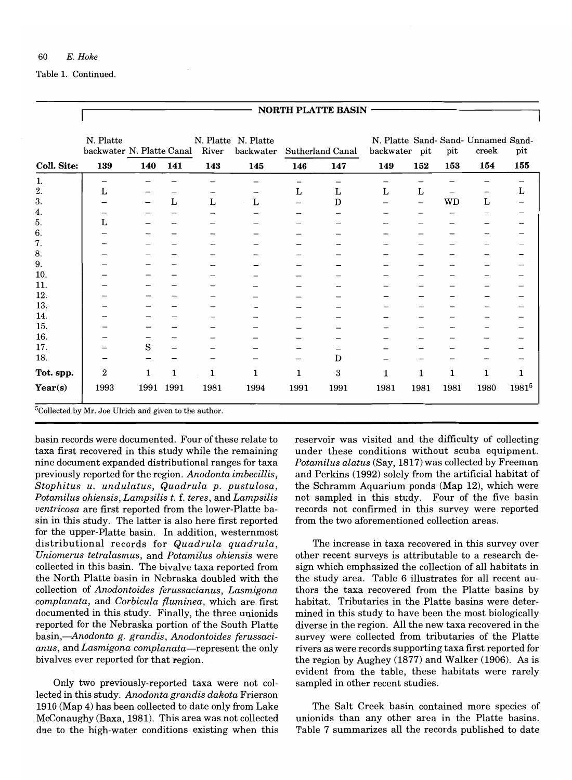Table 1. Continued.

|                    |                                                                   |      |              |              |                                  |                          | NORTH PLATTE BASIN |                          |      |           |                                              |            |
|--------------------|-------------------------------------------------------------------|------|--------------|--------------|----------------------------------|--------------------------|--------------------|--------------------------|------|-----------|----------------------------------------------|------------|
|                    | N. Platte<br>backwater N. Platte Canal                            |      |              | River        | N. Platte N. Platte<br>backwater |                          | Sutherland Canal   | backwater                | pit  | pit       | N. Platte Sand- Sand- Unnamed Sand-<br>creek | pit        |
| <b>Coll. Site:</b> | 139                                                               | 140  | 141          | 143          | 145                              | 146                      | 147                | 149                      | 152  | 153       | 154                                          | 155        |
| 1.                 | —                                                                 |      |              |              |                                  | $\overline{\phantom{0}}$ | -                  | -                        | -    |           |                                              |            |
| 2.                 | L                                                                 |      |              |              |                                  | L                        | L                  | L                        | L    | -         | -                                            | L          |
| 3.                 |                                                                   |      | Г            | Г            | Г                                |                          | D                  | $\overline{\phantom{0}}$ | -    | <b>WD</b> | L                                            |            |
| 4.                 |                                                                   |      |              |              |                                  |                          | --                 |                          |      |           | -                                            |            |
| 5.                 | Г                                                                 |      |              |              |                                  |                          |                    |                          |      |           |                                              |            |
| 6.                 |                                                                   |      |              |              |                                  |                          |                    |                          |      |           |                                              |            |
| 7.                 |                                                                   |      |              |              |                                  |                          |                    |                          |      |           |                                              |            |
| 8.                 |                                                                   |      |              |              |                                  |                          |                    |                          |      |           |                                              |            |
| 9.                 |                                                                   |      |              |              |                                  |                          |                    |                          |      |           |                                              |            |
| 10.                |                                                                   |      |              |              |                                  |                          |                    |                          |      |           |                                              |            |
| 11.                |                                                                   |      |              |              |                                  |                          |                    |                          |      |           |                                              |            |
| 12.                |                                                                   |      |              |              |                                  |                          |                    |                          |      |           |                                              |            |
| 13.                |                                                                   |      |              |              |                                  |                          |                    |                          |      |           |                                              |            |
| 14.                |                                                                   |      |              |              |                                  |                          |                    |                          |      |           |                                              |            |
| 15.                |                                                                   |      |              |              |                                  |                          |                    |                          |      |           |                                              |            |
| 16.                |                                                                   |      |              |              |                                  |                          |                    |                          |      |           |                                              |            |
| 17.                |                                                                   | S    |              |              |                                  |                          |                    |                          |      |           |                                              |            |
| 18.                |                                                                   |      |              |              |                                  |                          | D                  |                          |      |           |                                              |            |
| Tot. spp.          | $\boldsymbol{2}$                                                  | 1    | $\mathbf{1}$ | $\mathbf{1}$ | 1                                | $\mathbf{1}$             | 3                  | $\mathbf{1}$             | 1    | 1         | 1                                            | 1          |
| Year(s)            | 1993                                                              | 1991 | 1991         | 1981         | 1994                             | 1991                     | 1991               | 1981                     | 1981 | 1981      | 1980                                         | $1981^{5}$ |
|                    | <sup>5</sup> Collected by Mr. Joe Ulrich and given to the author. |      |              |              |                                  |                          |                    |                          |      |           |                                              |            |

basin records were documented. Four of these relate to taxa first recovered in this study while the remaining nine document expanded distributional ranges for taxa previously reported for the region. *Anodonta imbecillis, Stophitus u. undulatus, Quadrula p. pustulosa, Potamilus ohiensis, Lampsilis t.* f. *teres,* and *Lampsilis uentricosa* are first reported from the lower-Platte basin in this study. The latter is also here first reported for the upper-Platte basin. In addition, westernmost distributional records for *Quadrula quadrula, Uniomerus tetralasmus,* and *Potamilus ohiensis* were collected in this basin. The bivalve taxa reported from the North Platte basin in Nebraska doubled with the collection of *Anodontoides ferussacianus, Lasmigona complanata,* and *Corbicula {luminea,* which are first documented in this study. Finally, the three unionids reported for the Nebraska portion of the South Platte *basin,-Anodonta g. grandis, Anodontoides ferussacianus,* and *Lasmigona complanata-represent* the only bivalves ever reported for that region.

Only two previously-reported taxa were not collected in this study. *Anodonta grandis dakota* Frierson 1910 (Map 4) has been collected to date only from Lake McConaughy (Baxa, 1981). This area was not collected due to the high-water conditions existing when this reservoir was visited and the difficulty of collecting under these conditions without scuba equipment. *Potamilus alatus* (Say, 1817) was collected by Freeman and Perkins (1992) solely from the artificial habitat of the Schramm Aquarium ponds (Map 12), which were not sampled in this study. Four of the five basin records not confirmed in this survey were reported from the two aforementioned collection areas.

The increase in taxa recovered in this survey over other recent surveys is attributable to a research design which emphasized the collection of all habitats in the study area. Table 6 illustrates for all recent authors the taxa recovered from the Platte basins by habitat. Tributaries in the Platte basins were determined in this study to have been the most biologically diverse in the region. All the new taxa recovered in the survey were collected from tributaries of the Platte rivers as were records supporting taxa first reported for the region by Aughey (1877) and Walker (1906). As is evident from the table, these habitats were rarely sampled in other recent studies.

The Salt Creek basin contained more species of unionids than any other area in the Platte basins. Table 7 summarizes all the records published to date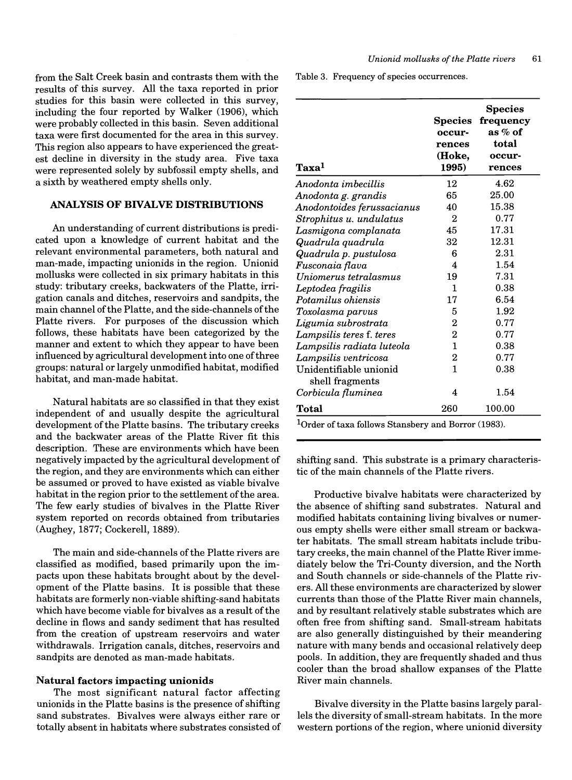from the Salt Creek basin and contrasts them with the results of this survey. All the taxa reported in prior studies for this basin were collected in this survey, including the four reported by Walker (1906), which were probably collected in this basin. Seven additional taxa were first documented for the area in this survey. This region also appears to have experienced the greatest decline in diversity in the study area. Five taxa were represented solely by subfossil empty shells, and a sixth by weathered empty shells only.

# **ANALYSIS OF BIVALVE DISTRIBUTIONS**

An understanding of current distributions is predicated upon a knowledge of current habitat and the relevant environmental parameters, both natural and man-made, impacting unionids in the region. Unionid mollusks were collected in six primary habitats in this study: tributary creeks, backwaters of the Platte, irrigation canals and ditches, reservoirs and sandpits, the main channel ofthe Platte, and the side-channels of the Platte rivers. For purposes of the discussion which follows, these habitats have been categorized by the manner and extent to which they appear to have been influenced by agricultural development into one of three groups: natural or largely unmodified habitat, modified habitat, and man-made habitat.

Natural habitats are so classified in that they exist independent of and usually despite the agricultural development of the Platte basins. The tributary creeks and the backwater areas of the Platte River fit this description. These are environments which have been negatively impacted by the agricultural development of the region, and they are environments which can either be assumed or proved to have existed as viable bivalve habitat in the region prior to the settlement of the area. The few early studies of bivalves in the Platte River system reported on records obtained from tributaries (Aughey, 1877; Cockerell, 1889).

The main and side-channels of the Platte rivers are classified as modified, based primarily upon the impacts upon these habitats brought about by the development of the Platte basins. It is possible that these habitats are formerly non-viable shifting-sand habitats which have become viable for bivalves as a result of the decline in flows and sandy sediment that has resulted from the creation of upstream reservoirs and water withdrawals. Irrigation canals, ditches, reservoirs and sandpits are denoted as man-made habitats.

#### **Natural factors impacting unionids**

The most significant natural factor affecting unionids in the Platte basins is the presence of shifting sand substrates. Bivalves were always either rare or totally absent in habitats where substrates consisted of Table 3. Frequency of species occurrences.

| $\bf {Taxa^1}$                            | <b>Species</b><br>occur-<br>rences<br>(Hoke,<br>1995) | <b>Species</b><br>frequency<br>as % of<br>total<br>occur-<br>rences |
|-------------------------------------------|-------------------------------------------------------|---------------------------------------------------------------------|
| Anodonta imbecillis                       | 12                                                    | 4.62                                                                |
| Anodonta g. grandis                       | 65                                                    | 25.00                                                               |
| Anodontoides ferussacianus                | 40                                                    | 15.38                                                               |
| Strophitus u. undulatus                   | 2                                                     | 0.77                                                                |
| Lasmigona complanata                      | 45                                                    | 17.31                                                               |
| Quadrula quadrula                         | 32                                                    | 12.31                                                               |
| Quadrula p. pustulosa                     | 6                                                     | $2.31\,$                                                            |
| Fusconaia flava                           | 4                                                     | 1.54                                                                |
| Uniomerus tetralasmus                     | 19                                                    | 7.31                                                                |
| Leptodea fragilis                         | 1                                                     | 0.38                                                                |
| Potamilus ohiensis                        | 17                                                    | 6.54                                                                |
| Toxolasma parvus                          | 5                                                     | 1.92                                                                |
| Ligumia subrostrata                       | $\boldsymbol{2}$                                      | 0.77                                                                |
| Lampsilis teres f. teres                  | 2                                                     | 0.77                                                                |
| Lampsilis radiata luteola                 | $\mathbf{1}$                                          | 0.38                                                                |
| Lampsilis ventricosa                      | 2                                                     | 0.77                                                                |
| Unidentifiable unionid<br>shell fragments | 1                                                     | 0.38                                                                |
| Corbicula fluminea                        | 4                                                     | 1.54                                                                |
| Total                                     | 260                                                   | 100.00                                                              |

 $1$ Order of taxa follows Stansbery and Borror (1983).

shifting sand. This substrate is a primary characteristic of the main channels of the Platte rivers.

Productive bivalve habitats were characterized by the absence of shifting sand substrates. Natural and modified habitats containing living bivalves or numerous empty shells were either small stream or backwater habitats. The small stream habitats include tributary creeks, the main channel of the Platte River immediately below the Tri-County diversion, and the North and South channels or side-channels of the Platte rivers. All these environments are characterized by slower currents than those of the Platte River main channels, and by resultant relatively stable substrates which are often free from shifting sand. Small-stream habitats are also generally distinguished by their meandering nature with many bends and occasional relatively deep pools. In addition, they are frequently shaded and thus cooler than the broad shallow expanses of the Platte River main channels.

Bivalve diversity in the Platte basins largely parallels the diversity of small-stream habitats. In the more western portions of the region, where unionid diversity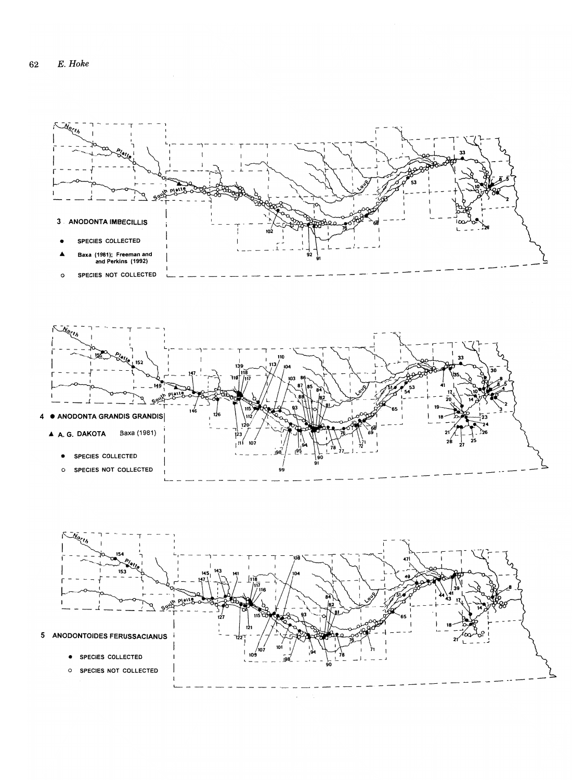

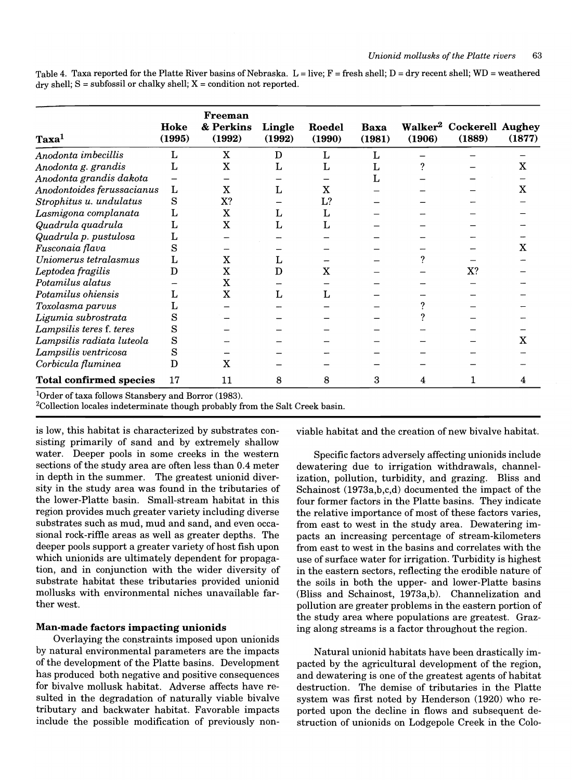Table 4. Taxa reported for the Platte River basins of Nebraska. L = live;  $F =$  fresh shell; D = dry recent shell; WD = weathered  $\text{dry shell}$ ; S = subfossil or chalky shell; X = condition not reported.

| Taxa <sup>1</sup>              | Hoke<br>(1995) | Freeman<br>& Perkins<br>(1992) | Lingle<br>(1992) | Roedel<br>(1990) | <b>Baxa</b><br>(1981) | (1906) | Walker <sup>2</sup> Cockerell Aughey<br>(1889) | (1877) |
|--------------------------------|----------------|--------------------------------|------------------|------------------|-----------------------|--------|------------------------------------------------|--------|
| Anodonta imbecillis            | L              | X                              | D                | L                | L                     |        |                                                |        |
| Anodonta g. grandis            | L              | $\mathbf X$                    | L                | L                |                       |        |                                                | x      |
| Anodonta grandis dakota        |                |                                |                  |                  |                       |        |                                                |        |
| Anodontoides ferussacianus     | L              | $\mathbf X$                    |                  | X                |                       |        |                                                | x      |
| Strophitus u. undulatus        | S              | X?                             |                  | L?               |                       |        |                                                |        |
| Lasmigona complanata           | L              | X                              | L                | L                |                       |        |                                                |        |
| Quadrula quadrula              | L              | $\mathbf X$                    | L                |                  |                       |        |                                                |        |
| Quadrula p. pustulosa          |                |                                |                  |                  |                       |        |                                                |        |
| Fusconaia flava                | S              |                                |                  |                  |                       |        |                                                |        |
| Uniomerus tetralasmus          |                | $\rm X$                        | L                |                  |                       |        |                                                |        |
| Leptodea fragilis              | D              | X                              | D                | x                |                       |        | X?                                             |        |
| Potamilus alatus               |                | $\mathbf X$                    |                  |                  |                       |        |                                                |        |
| Potamilus ohiensis             | ι.             | x                              |                  | L                |                       |        |                                                |        |
| Toxolasma parvus               |                |                                |                  |                  |                       |        |                                                |        |
| Ligumia subrostrata            | S              |                                |                  |                  |                       |        |                                                |        |
| Lampsilis teres f. teres       | S              |                                |                  |                  |                       |        |                                                |        |
| Lampsilis radiata luteola      | S              |                                |                  |                  |                       |        |                                                |        |
| Lampsilis ventricosa           | S              |                                |                  |                  |                       |        |                                                |        |
| Corbicula fluminea             | D              | x                              |                  |                  |                       |        |                                                |        |
| <b>Total confirmed species</b> | 17             | 11                             | 8                | 8                | 3                     | 4      |                                                |        |

 $1$ Order of taxa follows Stansbery and Borror (1983).

<sup>2</sup>Collection locales indeterminate though probably from the Salt Creek basin.

is low, this habitat is characterized by substrates consisting primarily of sand and by extremely shallow water. Deeper pools in some creeks in the western sections of the study area are often less than 0.4 meter in depth in the summer. The greatest unionid diversity in the study area was found in the tributaries of the lower-Platte basin. Small-stream habitat in this region provides much greater variety including diverse substrates such as mud, mud and sand, and even occasional rock-riffle areas as well as greater depths. The deeper pools support a greater variety of host fish upon which unionids are ultimately dependent for propagation, and in conjunction with the wider diversity of substrate habitat these tributaries provided unionid mollusks with environmental niches unavailable farther west.

#### **Man-made factors impacting unionids**

Overlaying the constraints imposed upon unionids by natural environmental parameters are the impacts of the development of the Platte basins. Development has produced both negative and positive consequences for bivalve mollusk habitat. Adverse affects have resulted in the degradation of naturally viable bivalve tributary and backwater habitat. Favorable impacts include the possible modification of previously nonviable habitat and the creation of new bivalve habitat.

Specific factors adversely affecting unionids include dewatering due to irrigation withdrawals, channelization, pollution, turbidity, and grazing. Bliss and Schainost (1973a,b,c,d) documented the impact of the four former factors in the Platte basins. They indicate the relative importance of most of these factors varies, from east to west in the study area. Dewatering impacts an increasing percentage of stream-kilometers from east to west in the basins and correlates with the use of surface water for irrigation. Turbidity is highest in the eastern sectors, reflecting the erodible nature of the soils in both the upper- and lower-Platte basins (Bliss and Schainost, 1973a,b). Channelization and pollution are greater problems in the eastern portion of the study area where populations are greatest. Grazing along streams is a factor throughout the region.

Natural unionid habitats have been drastically impacted by the agricultural development of the region, and dewatering is one of the greatest agents of habitat destruction. The demise of tributaries in the Platte system was first noted by Henderson (1920) who reported upon the decline in flows and subsequent destruction of unionids on Lodgepole Creek in the Colo-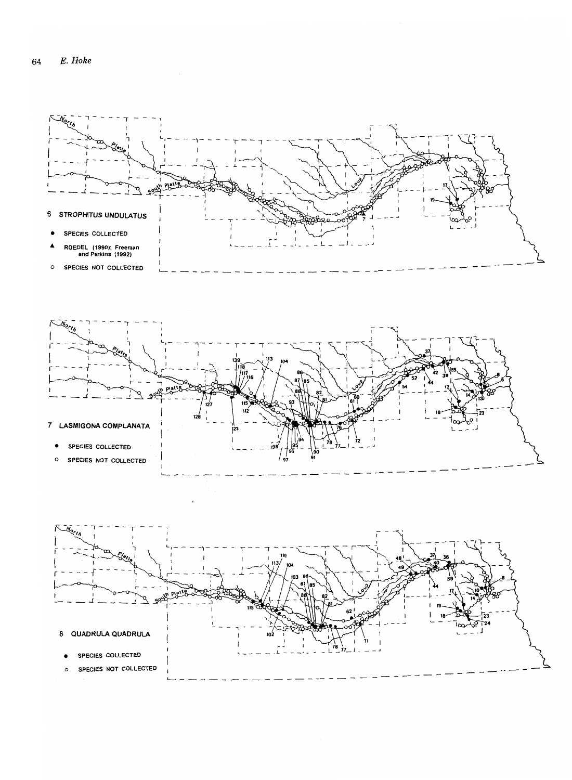![](_page_16_Figure_1.jpeg)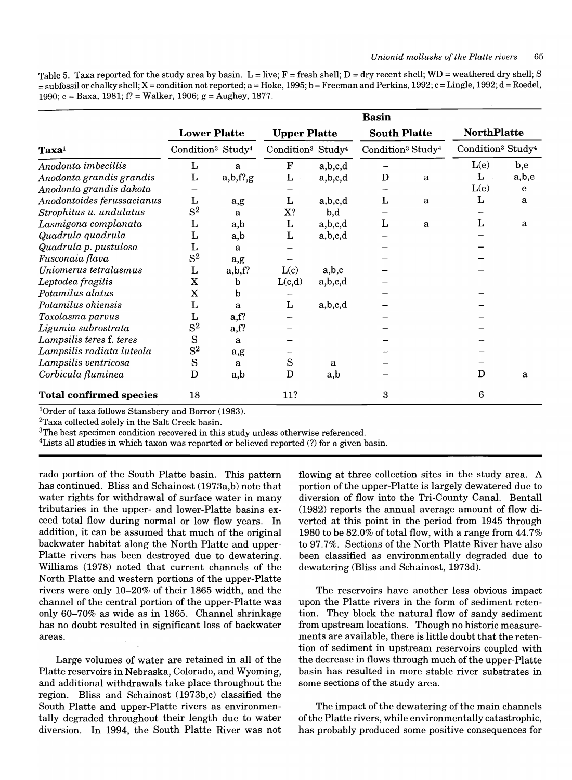Table 5. Taxa reported for the study area by basin.  $L = live$ ;  $F = fresh$  shell;  $D = dry$  recent shell;  $WD = weathered$  dry shell; S  $=$ subfossil or chalky shell; X = condition not reported; a = Hoke, 1995; b = Freeman and Perkins, 1992; c = Lingle, 1992; d = Roedel, 1990; e = Baxa, 1981; f? = Walker, 1906; g = Aughey, 1877.

|                                | <b>Basin</b>                              |                     |                                           |         |                                           |   |                                           |              |
|--------------------------------|-------------------------------------------|---------------------|-------------------------------------------|---------|-------------------------------------------|---|-------------------------------------------|--------------|
|                                |                                           | <b>Lower Platte</b> | <b>Upper Platte</b>                       |         | <b>South Platte</b>                       |   | <b>NorthPlatte</b>                        |              |
| Taxa <sup>1</sup>              | Condition <sup>3</sup> Study <sup>4</sup> |                     | Condition <sup>3</sup> Study <sup>4</sup> |         | Condition <sup>3</sup> Study <sup>4</sup> |   | Condition <sup>3</sup> Study <sup>4</sup> |              |
| Anodonta imbecillis            | L                                         | a                   | $\mathbf F$                               | a,b,c,d |                                           |   | L(e)                                      | $_{\rm b,e}$ |
| Anodonta grandis grandis       | L                                         | a,b,f',g            | L                                         | a,b,c,d | D                                         | a | L                                         | a,b,e        |
| Anodonta grandis dakota        |                                           |                     |                                           |         |                                           |   | L(e)                                      | e            |
| Anodontoides ferussacianus     | L                                         | a,g                 | L                                         | a,b,c,d | L                                         | a | L                                         | a            |
| Strophitus u. undulatus        | $S^2$                                     | a                   | X?                                        | b,d     |                                           |   |                                           |              |
| Lasmigona complanata           | L                                         | a,b                 | L                                         | a,b,c,d | L                                         | a | L                                         | a            |
| Quadrula quadrula              | L                                         | a,b                 | L                                         | a,b,c,d |                                           |   |                                           |              |
| Quadrula p. pustulosa          | L                                         | a                   |                                           |         |                                           |   |                                           |              |
| Fusconaia flava                | $S^2$                                     | a,g                 |                                           |         |                                           |   |                                           |              |
| Uniomerus tetralasmus          | L                                         | a,b,f?              | L(c)                                      | a,b,c   |                                           |   |                                           |              |
| Leptodea fragilis              | X                                         | $\mathbf b$         | L(c,d)                                    | a,b,c,d |                                           |   |                                           |              |
| Potamilus alatus               | $\mathbf X$                               | b                   |                                           |         |                                           |   |                                           |              |
| Potamilus ohiensis             | L                                         | a                   | L                                         | a,b,c,d |                                           |   |                                           |              |
| Toxolasma parvus               | L                                         | a,f?                |                                           |         |                                           |   |                                           |              |
| Ligumia subrostrata            | $S^2$                                     | a,f?                |                                           |         |                                           |   |                                           |              |
| Lampsilis teres f. teres       | S                                         | a                   |                                           |         |                                           |   |                                           |              |
| Lampsilis radiata luteola      | $S^2$                                     | a,g                 |                                           |         |                                           |   |                                           |              |
| Lampsilis ventricosa           | S                                         | a                   | S                                         | a       |                                           |   |                                           |              |
| Corbicula fluminea             | D                                         | a,b                 | D                                         | a,b     |                                           |   | D                                         | a            |
| <b>Total confirmed species</b> | 18                                        |                     | 11?                                       |         | 3                                         |   | 6                                         |              |

<sup>1</sup>Order of taxa follows Stansbery and Borror (1983).

2Taxa collected solely in the Salt Creek basin.

<sup>3</sup>The best specimen condition recovered in this study unless otherwise referenced.

4Lists all studies in which taxon was reported or believed reported (?) for a given basin.

rado portion of the South Platte basin. This pattern has continued. Bliss and Schainost (1973a,b) note that water rights for withdrawal of surface water in many tributaries in the upper- and lower-Platte basins exceed total flow during normal or low flow years. **In**  addition, it can be assumed that much of the original backwater habitat along the North Platte and upper-Platte rivers has been destroyed due to dewatering. Williams (1978) noted that current channels of the North Platte and western portions of the upper-Platte rivers were only 10-20% of their 1865 width, and the channel of the central portion of the upper-Platte was only 60-70% as wide as in 1865. Channel shrinkage has no doubt resulted in significant loss of backwater areas.

Large volumes of water are retained in all of the Platte reservoirs in Nebraska, Colorado, and Wyoming, and additional withdrawals take place throughout the region. Bliss and Schainost (1973b,c) classified the South Platte and upper-Platte rivers as environmentally degraded throughout their length due to water diversion. **In** 1994, the South Platte River was not flowing at three collection sites in the study area. A portion of the upper-Platte is largely dewatered due to diversion of flow into the Tri-County Canal. Bentall (1982) reports the annual average amount of flow diverted at this point in the period from 1945 through 1980 to be 82.0% of total flow, with a range from 44.7% to 97.7%. Sections of the North Platte River have also been classified as environmentally degraded due to dewatering (Bliss and Schainost, 1973d).

The reservoirs have another less obvious impact upon the Platte rivers in the form of sediment retention. They block the natural flow of sandy sediment from upstream locations. Though no historic measurements are available, there is little doubt that the retention of sediment in upstream reservoirs coupled with the decrease in flows through much of the upper-Platte basin has resulted in more stable river substrates in some sections of the study area.

The impact of the dewatering of the main channels of the Platte rivers, while environmentally catastrophic, has probably produced some positive consequences for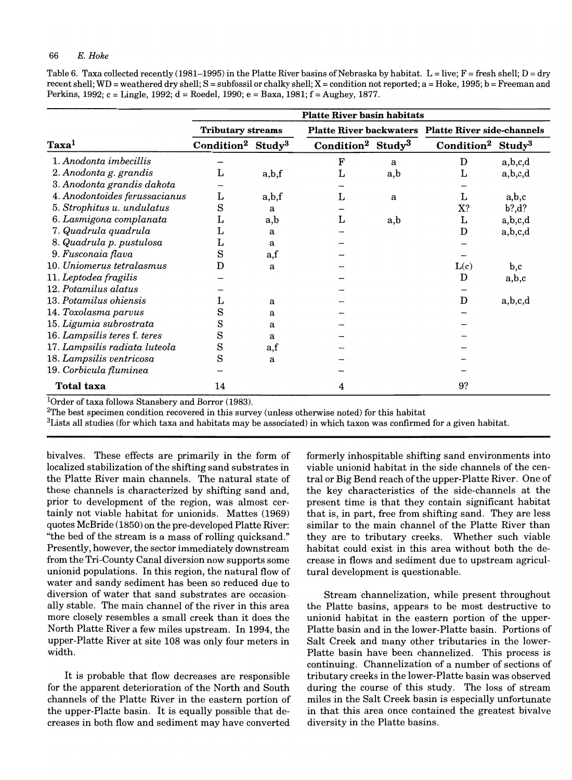Table 6. Taxa collected recently (1981–1995) in the Platte River basins of Nebraska by habitat. L = live;  $F =$  fresh shell; D = dry recent shell; WD = weathered dry shell;  $S =$  subfossil or chalky shell;  $X =$  condition not reported;  $a = H$ oke, 1995;  $b =$  Freeman and Perkins, 1992; c = Lingle, 1992; d = Roedel, 1990; e = Baxa, 1981; f = Aughey, 1877.

|                               |                                           |                   | <b>Platte River basin habitats</b>        |     |                                                           |                 |
|-------------------------------|-------------------------------------------|-------------------|-------------------------------------------|-----|-----------------------------------------------------------|-----------------|
|                               | <b>Tributary streams</b>                  |                   |                                           |     | <b>Platte River backwaters Platte River side-channels</b> |                 |
| Taxa <sup>1</sup>             | Condition <sup>2</sup> Study <sup>3</sup> |                   | Condition <sup>2</sup> Study <sup>3</sup> |     | $\bf Condition^2$                                         | ${\bf Study}^3$ |
| 1. Anodonta imbecillis        |                                           |                   | F                                         | a   | D                                                         | a,b,c,d         |
| 2. Anodonta g. grandis        | L                                         | a,b,f             | L                                         | a,b | L                                                         | a,b,c,d         |
| 3. Anodonta grandis dakota    |                                           |                   |                                           |     |                                                           |                 |
| 4. Anodontoides ferussacianus | L                                         | a,b,f             | L                                         | a   | L                                                         | a,b,c           |
| 5. Strophitus u. undulatus    | S                                         | a                 |                                           |     | X?                                                        | b?, d?          |
| 6. Lasmigona complanata       | L                                         | a,b               | L                                         | a,b | г                                                         | a,b,c,d         |
| 7. Quadrula quadrula          |                                           | a                 |                                           |     | D                                                         | a,b,c,d         |
| 8. Quadrula p. pustulosa      |                                           | a                 |                                           |     |                                                           |                 |
| 9. Fusconaia flava            | S                                         | $_{\mathrm{a,f}}$ |                                           |     |                                                           |                 |
| 10. Uniomerus tetralasmus     | D                                         | a                 |                                           |     | L(c)                                                      | b,c             |
| 11. Leptodea fragilis         |                                           |                   |                                           |     | D                                                         | a,b,c           |
| 12. Potamilus alatus          |                                           |                   |                                           |     |                                                           |                 |
| 13. Potamilus ohiensis        |                                           | a                 |                                           |     | D                                                         | a,b,c,d         |
| 14. Toxolasma parvus          | $_{\rm s}$                                | a                 |                                           |     |                                                           |                 |
| 15. Ligumia subrostrata       | S                                         | a                 |                                           |     |                                                           |                 |
| 16. Lampsilis teres f. teres  | S                                         | a                 |                                           |     |                                                           |                 |
| 17. Lampsilis radiata luteola | S                                         | a,f               |                                           |     |                                                           |                 |
| 18. Lampsilis ventricosa      | S                                         | a                 |                                           |     |                                                           |                 |
| 19. Corbicula fluminea        |                                           |                   |                                           |     |                                                           |                 |
| <b>Total taxa</b>             | 14                                        |                   | 4                                         |     | 9?                                                        |                 |

lOrder of taxa follows Stansbery and Borror (1983).

 $2$ The best specimen condition recovered in this survey (unless otherwise noted) for this habitat

 $3$ Lists all studies (for which taxa and habitats may be associated) in which taxon was confirmed for a given habitat.

bivalves. These effects are primarily in the form of localized stabilization of the shifting sand substrates in the Platte River main channels. The natural state of these channels is characterized by shifting sand and, prior to development of the region, was almost certainly not viable habitat for unionids. Mattes (1969) quotes McBride (1850) on the pre-developed Platte River: "the bed of the stream is a mass of rolling quicksand." Presently, however, the sector immediately downstream from the Tri-County Canal diversion now supports some unionid populations. In this region, the natural flow of water and sandy sediment has been so reduced due to diversion of water that sand substrates are occasionally stable. The main channel of the river in this area more closely resembles a small creek than it does the North Platte River a few miles upstream. In 1994, the upper-Platte River at site 108 was only four meters in width.

It is probable that flow decreases are responsible for the apparent deterioration of the North and South channels of the Platte River in the eastern portion of the upper-Platte basin. It is equally possible that decreases in both flow and sediment may have converted

formerly inhospitable shifting sand environments into viable unionid habitat in the side channels of the central or Big Bend reach of the upper-Platte River. One of the key characteristics of the side-channels at the present time is that they contain significant habitat that is, in part, free from shifting sand. They are less similar to the main channel of the Platte River than they are to tributary creeks. Whether such viable habitat could exist in this area without both the decrease in flows and sediment due to upstream agricultural development is questionable.

Stream channelization, while present throughout the Platte basins, appears to be most destructive to unionid habitat in the eastern portion of the upper-Platte basin and in the lower-Platte basin. Portions of Salt Creek and many other tributaries in the lower-Platte basin have been channelized. This process is continuing. Channelization of a number of sections of tributary creeks in the lower-Platte basin was observed during the course of this study. The loss of stream miles in the Salt Creek basin is especially unfortunate in that this area once contained the greatest bivalve diversity in the Platte basins.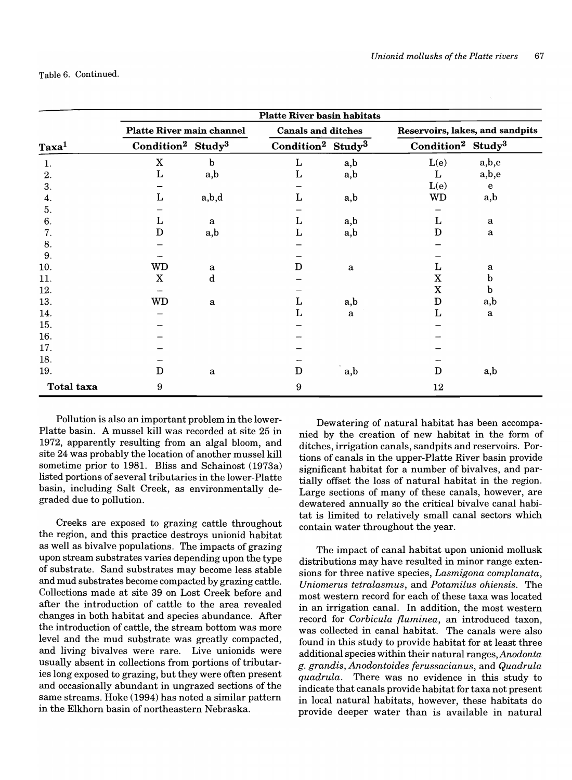|                   |                                           |       | <b>Platte River basin habitats</b>        |              |                                           |                                 |
|-------------------|-------------------------------------------|-------|-------------------------------------------|--------------|-------------------------------------------|---------------------------------|
|                   | <b>Platte River main channel</b>          |       | <b>Canals and ditches</b>                 |              |                                           | Reservoirs, lakes, and sandpits |
| Taxa <sup>1</sup> | Condition <sup>2</sup> Study <sup>3</sup> |       | Condition <sup>2</sup> Study <sup>3</sup> |              | Condition <sup>2</sup> Study <sup>3</sup> |                                 |
| 1.                | $\mathbf X$                               | b     | $\mathbf{L}$                              | a,b          | L(e)                                      | a,b,e                           |
| 2.                | L                                         | a,b   | L                                         | a,b          | L                                         | a,b,e                           |
| 3.                |                                           |       |                                           |              | L(e)                                      | e                               |
| 4.                | Г                                         | a,b,d | L                                         | a,b          | WD                                        | a,b                             |
| 5.                |                                           |       |                                           |              |                                           |                                 |
| 6.                | L                                         | a     | L                                         | a,b          | L                                         | a                               |
| 7.                | D                                         | a,b   | L                                         | a,b          | D                                         | a                               |
| 8.                |                                           |       |                                           |              |                                           |                                 |
| 9.                |                                           |       |                                           |              |                                           |                                 |
| 10.               | WD                                        | a     | D                                         | $\mathbf{a}$ | L                                         | a                               |
| 11.               | $\mathbf X$                               | d     |                                           |              | $\mathbf X$                               | b                               |
| 12.               |                                           |       |                                           |              | $\mathbf X$                               | b                               |
| 13.               | <b>WD</b>                                 | a     | L                                         | a,b          | D                                         | a,b                             |
| 14.               |                                           |       | L                                         | $\mathbf{a}$ | L                                         | a                               |
| 15.               |                                           |       |                                           |              |                                           |                                 |
| 16.               |                                           |       |                                           |              |                                           |                                 |
| 17.               |                                           |       |                                           |              |                                           |                                 |
| 18.               |                                           |       |                                           |              |                                           |                                 |
| 19.               | D                                         | a     | D                                         | a,b          | D                                         | a,b                             |
| <b>Total taxa</b> | 9                                         |       | 9                                         |              | 12                                        |                                 |

Pollution is also an important problem in the lower-Platte basin. A mussel kill was recorded at site 25 in 1972, apparently resulting from an algal bloom, and site 24 was probably the location of another mussel kill sometime prior to 1981. Bliss and Schainost (1973a) listed portions of several tributaries in the lower-Platte basin, including Salt Creek, as environmentally degraded due to pollution.

Creeks are exposed to grazing cattle throughout the region, and this practice destroys unionid habitat as well as bivalve populations. The impacts of grazing upon stream substrates varies depending upon the type of substrate. Sand substrates may become less stable and mud substrates become compacted by grazing cattle. Collections made at site 39 on Lost Creek before and after the introduction of cattle to the area revealed changes in both habitat and species abundance. After the introduction of cattle, the stream bottom was more level and the mud substrate was greatly compacted, and living bivalves were rare. Live unionids were usually absent in collections from portions of tributaries long exposed to grazing, but they were often present and occasionally abundant in ungrazed sections of the same streams. Hoke (1994) has noted a similar pattern in the Elkhorn basin of northeastern Nebraska.

Dewatering of natural habitat has been accompanied by the creation of new habitat in the form of ditches, irrigation canals, sandpits and reservoirs. Portions of canals in the upper-Platte River basin provide significant habitat for a number of bivalves, and partially offset the loss of natural habitat in the region. Large sections of many of these canals, however, are dewatered annually so the critical bivalve canal habitat is limited to relatively small canal sectors which contain water throughout the year.

The impact of canal habitat upon unionid mollusk distributions may have resulted in minor range extensions for three native species, *Lasmigona complanata, Uniomerus tetralasmus,* and *Potamilus ohiensis.* The most western record for each of these taxa was located in an irrigation canal. In addition, the most western record for *Corbicula fluminea,* an introduced taxon, was collected in canal habitat. The canals were also found in this study to provide habitat for at least three additional species within their natural *ranges,Anodonta g. grandis, Anodontoides ferussacianus,* and *Quadrula quadrula.* There was no evidence in this study to indicate that canals provide habitat for taxa not present in local natural habitats, however, these habitats do provide deeper water than is available in natural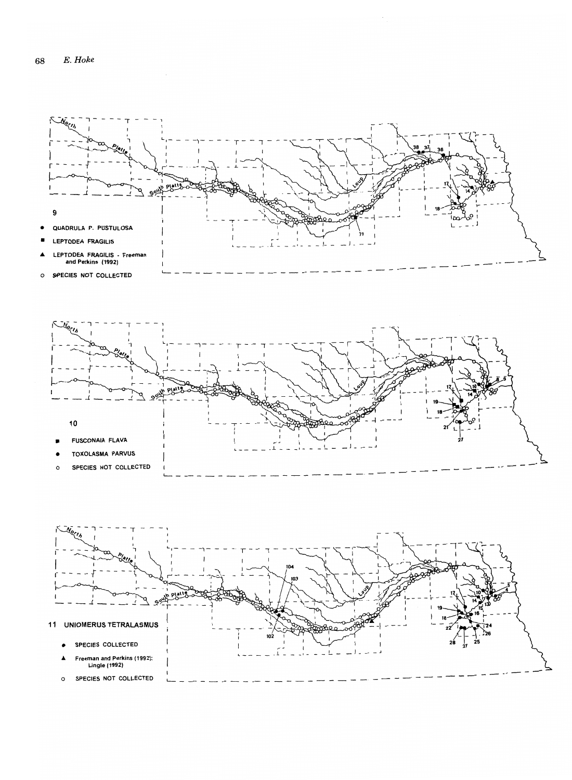![](_page_20_Figure_1.jpeg)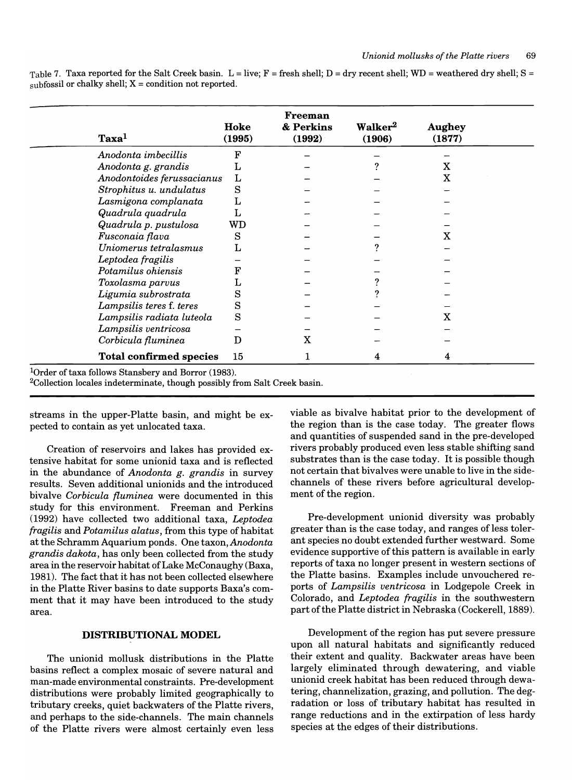Table 7. Taxa reported for the Salt Creek basin. L = live;  $F =$  fresh shell; D = dry recent shell; WD = weathered dry shell; S = subfossil or chalky shell;  $X =$  condition not reported.

| Taxa <sup>1</sup>              | Hoke<br>(1995) | <b>Freeman</b><br>& Perkins<br>(1992) | Walker <sup>2</sup><br>(1906) | <b>Aughey</b><br>(1877) |  |
|--------------------------------|----------------|---------------------------------------|-------------------------------|-------------------------|--|
| Anodonta imbecillis            | F              |                                       |                               |                         |  |
| Anodonta g. grandis            | L              |                                       |                               | x                       |  |
| Anodontoides ferussacianus     | L              |                                       |                               | x                       |  |
| Strophitus u. undulatus        | S              |                                       |                               |                         |  |
| Lasmigona complanata           | L              |                                       |                               |                         |  |
| Quadrula quadrula              | Τ,             |                                       |                               |                         |  |
| Quadrula p. pustulosa          | WD             |                                       |                               |                         |  |
| Fusconaia flava                | S              |                                       |                               | X                       |  |
| Uniomerus tetralasmus          |                |                                       |                               |                         |  |
| Leptodea fragilis              |                |                                       |                               |                         |  |
| Potamilus ohiensis             | F              |                                       |                               |                         |  |
| Toxolasma parvus               |                |                                       |                               |                         |  |
| Ligumia subrostrata            | S              |                                       |                               |                         |  |
| Lampsilis teres f. teres       | S              |                                       |                               |                         |  |
| Lampsilis radiata luteola      | S              |                                       |                               | x                       |  |
| Lampsilis ventricosa           |                |                                       |                               |                         |  |
| Corbicula fluminea             | D              | X                                     |                               |                         |  |
| <b>Total confirmed species</b> | 15             |                                       | 4                             | 4                       |  |

<sup>1</sup>Order of taxa follows Stansbery and Borror (1983).

2Collection locales indeterminate, though possibly from Salt Creek basin.

streams in the upper-Platte basin, and might be expected to contain as yet unlocated taxa.

Creation of reservoirs and lakes has provided extensive habitat for some unionid taxa and is reflected in the abundance of *Anodonta g. grandis* in survey results. Seven additional unionids and the introduced bivalve *Corbicula fluminea* were documented in this study for this environment. Freeman and Perkins (1992) have collected two additional taxa, *Leptodea fragilis* and *Potamilus alatus,* from this type of habitat at the Schramm Aquarium ponds. One taxon, *Anodonta grandis dakota,* has only been collected from the study area in the reservoir habitat of Lake McConaughy (Baxa, 1981). The fact that it has not been collected elsewhere in the Platte River basins to date supports Baxa's comment that it may have been introduced to the study area.

# DISTRIBUTIONAL MODEL

The unionid mollusk distributions in the Platte basins reflect a complex mosaic of severe natural and man-made environmental constraints. Pre-development distributions were probably limited geographically to tributary creeks, quiet backwaters of the Platte rivers, and perhaps to the side-channels. The main channels of the Platte rivers were almost certainly even less viable as bivalve habitat prior to the development of the region than is the case today. The greater flows and quantities of suspended sand in the pre-developed rivers probably produced even less stable shifting sand substrates than is the case today. It is possible though not certain that bivalves were unable to live in the sidechannels of these rivers before agricultural development of the region.

Pre-development unionid diversity was probably greater than is the case today, and ranges of less tolerant species no doubt extended further westward. Some evidence supportive of this pattern is available in early reports of taxa no longer present in western sections of the Platte basins. Examples include unvouchered reports of *Lampsilis ventricosa* in Lodgepole Creek in Colorado, and *Leptodea fragilis* in the southwestern part of the Platte district in Nebraska (Cockerell, 1889).

Development of the region has put severe pressure upon all natural habitats and significantly reduced their extent and quality. Backwater areas have been largely eliminated through dewatering, and viable unionid creek habitat has been reduced through dewatering, channelization, grazing, and pollution. The degradation or loss of tributary habitat has resulted in range reductions and in the extirpation of less hardy species at the edges of their distributions.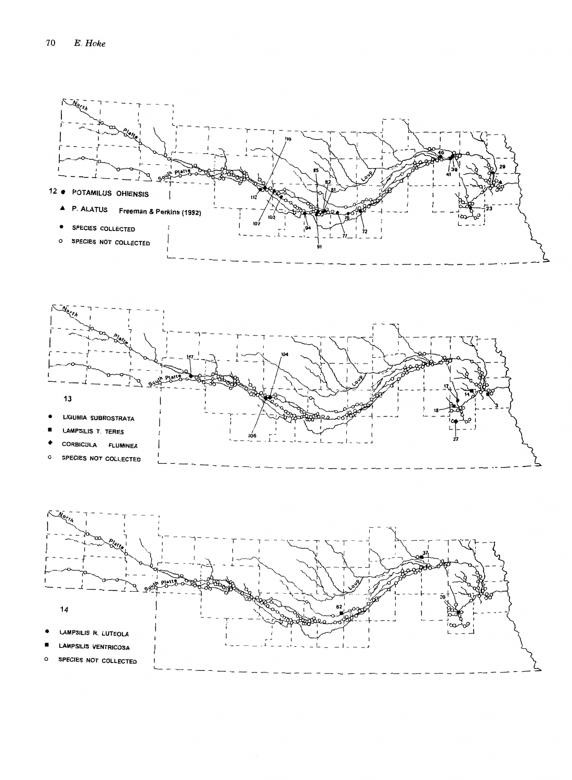![](_page_22_Figure_1.jpeg)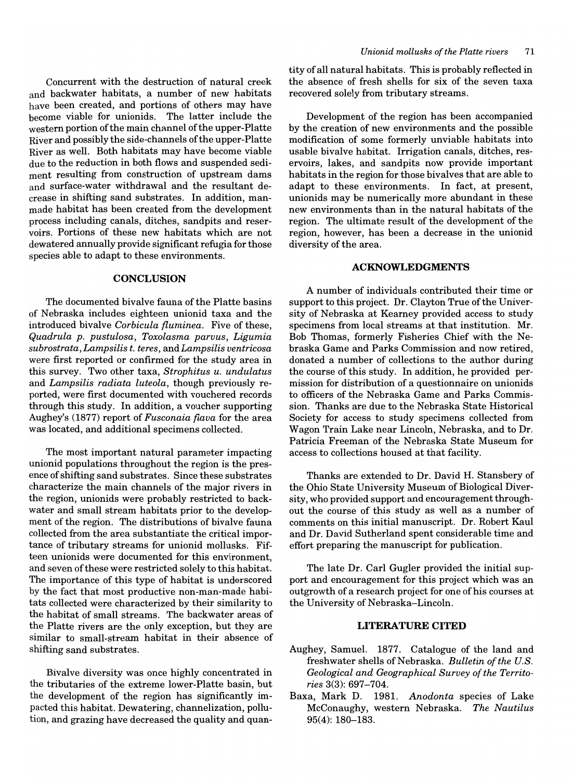Concurrent with the destruction of natural creek and backwater habitats, a number of new habitats have been created, and portions of others may have become viable for unionids. The latter include the western portion of the main channel of the upper-Platte River and possibly the side-channels of the upper-Platte River as well. Both habitats may have become viable due to the reduction in both flows and suspended sediment resulting from construction of upstream dams and surface-water withdrawal and the resultant decrease in shifting sand substrates. In addition, manmade habitat has been created from the development process including canals, ditches, sandpits and reservoirs. Portions of these new habitats which are not dewatered annually provide significant refugia for those species able to adapt to these environments.

#### **CONCLUSION**

The documented bivalve fauna of the Platte basins of Nebraska includes eighteen unionid taxa and the introduced bivalve *Corbicula {luminea.* Five of these, *Quadrula p. pustulosa, Toxolasma parvus, Ligumia subrostrata, Lampsilis t. teres,* and *Lampsilis ventricosa*  were first reported or confirmed for the study area in this survey. Two other taxa, *Strophitus u. undulatus*  and *Lampsilis radiata luteola,* though previously reported, were first documented with vouchered records through this study. In addition, a voucher supporting Aughey's (1877) report of *Fusconaia (lava* for the area was located, and additional specimens collected.

The most important natural parameter impacting unionid populations throughout the region is the presence of shifting sand substrates. Since these substrates characterize the main channels of the major rivers in the region, unionids were probably restricted to backwater and small stream habitats prior to the development of the region. The distributions of bivalve fauna collected from the area substantiate the critical importance of tributary streams for unionid mollusks. Fifteen unionids were documented for this environment, and seven of these were restricted solely to this habitat. The importance of this type of habitat is underscored by the fact that most productive non-man-made habitats collected were characterized by their similarity to the habitat of small streams. The backwater areas of the Platte rivers are the only exception, but they are similar to small-stream habitat in their absence of shifting sand substrates.

Bivalve diversity was once highly concentrated in the tributaries of the extreme lower-Platte basin, but the development of the region has significantly impacted this habitat. Dewatering, channelization, pollution, and grazing have decreased the quality and quan-

tity of all natural habitats. This is probably reflected in the absence of fresh shells for six of the seven taxa recovered solely from tributary streams.

Development of the region has been accompanied by the creation of new environments and the possible modification of some formerly unviable habitats into usable bivalve habitat. Irrigation canals, ditches, reservoirs, lakes, and sandpits now provide important habitats in the region for those bivalves that are able to adapt to these environments. In fact, at present, unionids may be numerically more abundant in these new environments than in the natural habitats of the region. The ultimate result of the development of the region, however, has been a decrease in the unionid diversity of the area.

# **ACKNOWLEDGMENTS**

A number of individuals contributed their time or support to this project. Dr. Clayton True of the University of Nebraska at Kearney provided access to study specimens from local streams at that institution. Mr. Bob Thomas, formerly Fisheries Chief with the Nebraska Game and Parks Commission and now retired, donated a number of collections to the author during the course of this study. In addition, he provided permission for distribution of a questionnaire on unionids to officers of the Nebraska Game and Parks Commission. Thanks are due to the Nebraska State Historical Society for access to study specimens collected from Wagon Train Lake near Lincoln, Nebraska, and to Dr. Patricia Freeman of the Nebraska State Museum for access to collections housed at that facility.

Thanks are extended to Dr. David H. Stansbery of the Ohio State University Museum of Biological Diversity, who provided support and encouragement throughout the course of this study as well as a number of comments on this initial manuscript. Dr. Robert Kaul and Dr. David Sutherland spent considerable time and effort preparing the manuscript for publication.

The late Dr. Carl Gugler provided the initial support and encouragement for this project which was an outgrowth of a research project for one of his courses at the University of Nebraska-Lincoln.

# **LITERATURE CITED**

- Aughey, Samuel. 1877. Catalogue of the land and freshwater shells of Nebraska. *Bulletin of the U.S. Geological and Geographical Survey of the Territories* 3(3): 697-704.
- Baxa, Mark D. 1981. *Anodonta* species of Lake McConaughy, western Nebraska. *The Nautilus*  95(4): 180-183.